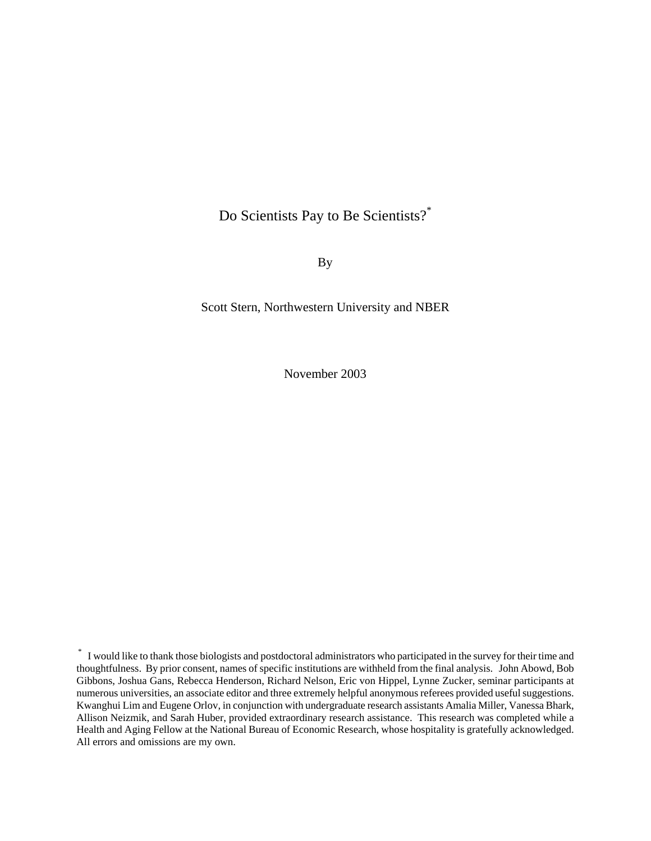Do Scientists Pay to Be Scientists?\*

By

Scott Stern, Northwestern University and NBER

November 2003

<sup>\*</sup> I would like to thank those biologists and postdoctoral administrators who participated in the survey for their time and thoughtfulness. By prior consent, names of specific institutions are withheld from the final analysis. John Abowd, Bob Gibbons, Joshua Gans, Rebecca Henderson, Richard Nelson, Eric von Hippel, Lynne Zucker, seminar participants at numerous universities, an associate editor and three extremely helpful anonymous referees provided useful suggestions. Kwanghui Lim and Eugene Orlov, in conjunction with undergraduate research assistants Amalia Miller, Vanessa Bhark, Allison Neizmik, and Sarah Huber, provided extraordinary research assistance. This research was completed while a Health and Aging Fellow at the National Bureau of Economic Research, whose hospitality is gratefully acknowledged. All errors and omissions are my own.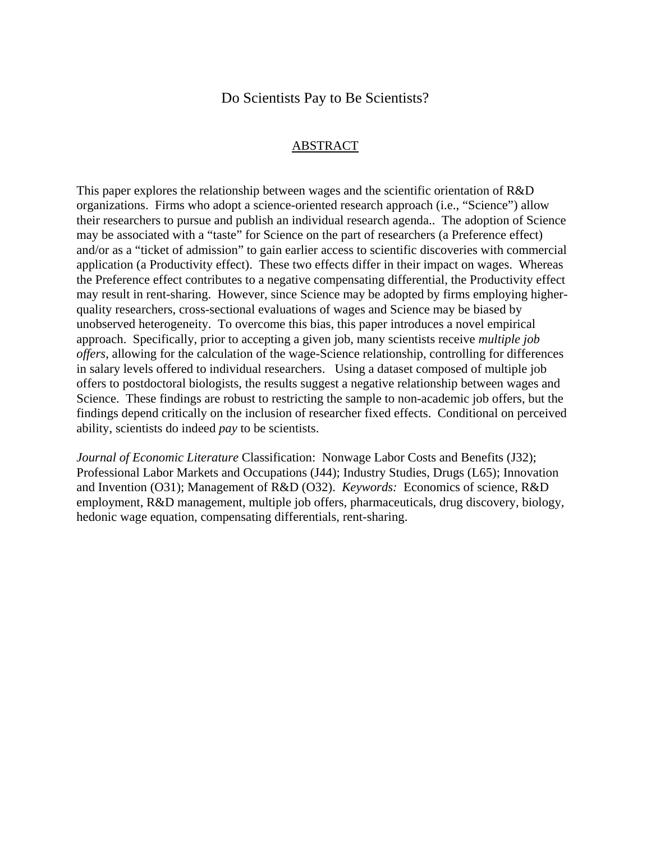## Do Scientists Pay to Be Scientists?

### ABSTRACT

This paper explores the relationship between wages and the scientific orientation of R&D organizations. Firms who adopt a science-oriented research approach (i.e., "Science") allow their researchers to pursue and publish an individual research agenda.. The adoption of Science may be associated with a "taste" for Science on the part of researchers (a Preference effect) and/or as a "ticket of admission" to gain earlier access to scientific discoveries with commercial application (a Productivity effect). These two effects differ in their impact on wages. Whereas the Preference effect contributes to a negative compensating differential, the Productivity effect may result in rent-sharing. However, since Science may be adopted by firms employing higherquality researchers, cross-sectional evaluations of wages and Science may be biased by unobserved heterogeneity. To overcome this bias, this paper introduces a novel empirical approach. Specifically, prior to accepting a given job, many scientists receive *multiple job offers*, allowing for the calculation of the wage-Science relationship, controlling for differences in salary levels offered to individual researchers. Using a dataset composed of multiple job offers to postdoctoral biologists, the results suggest a negative relationship between wages and Science. These findings are robust to restricting the sample to non-academic job offers, but the findings depend critically on the inclusion of researcher fixed effects. Conditional on perceived ability, scientists do indeed *pay* to be scientists.

*Journal of Economic Literature* Classification: Nonwage Labor Costs and Benefits (J32); Professional Labor Markets and Occupations (J44); Industry Studies, Drugs (L65); Innovation and Invention (O31); Management of R&D (O32). *Keywords:* Economics of science, R&D employment, R&D management, multiple job offers, pharmaceuticals, drug discovery, biology, hedonic wage equation, compensating differentials, rent-sharing.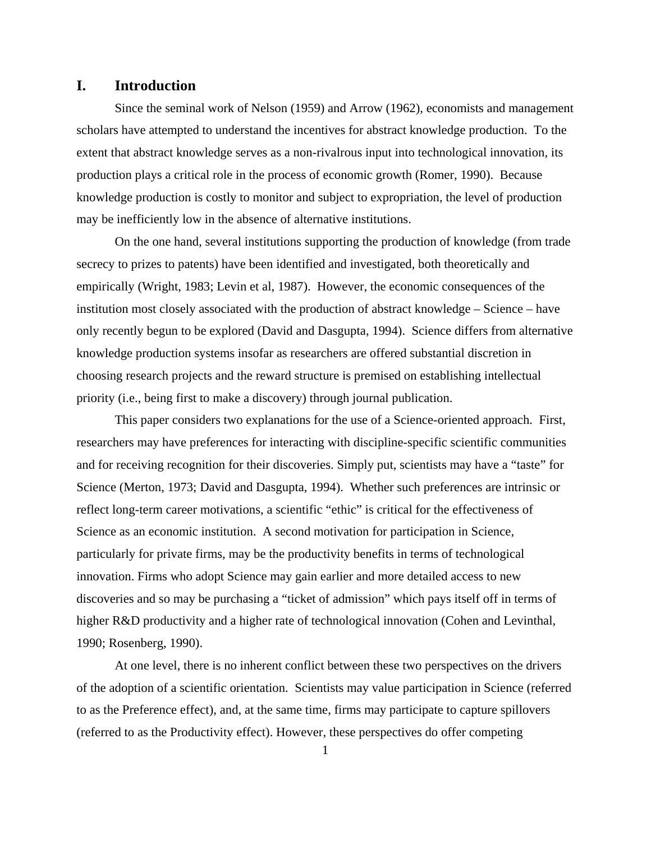## **I. Introduction**

Since the seminal work of Nelson (1959) and Arrow (1962), economists and management scholars have attempted to understand the incentives for abstract knowledge production. To the extent that abstract knowledge serves as a non-rivalrous input into technological innovation, its production plays a critical role in the process of economic growth (Romer, 1990). Because knowledge production is costly to monitor and subject to expropriation, the level of production may be inefficiently low in the absence of alternative institutions.

On the one hand, several institutions supporting the production of knowledge (from trade secrecy to prizes to patents) have been identified and investigated, both theoretically and empirically (Wright, 1983; Levin et al, 1987). However, the economic consequences of the institution most closely associated with the production of abstract knowledge – Science – have only recently begun to be explored (David and Dasgupta, 1994). Science differs from alternative knowledge production systems insofar as researchers are offered substantial discretion in choosing research projects and the reward structure is premised on establishing intellectual priority (i.e., being first to make a discovery) through journal publication.

This paper considers two explanations for the use of a Science-oriented approach. First, researchers may have preferences for interacting with discipline-specific scientific communities and for receiving recognition for their discoveries. Simply put, scientists may have a "taste" for Science (Merton, 1973; David and Dasgupta, 1994). Whether such preferences are intrinsic or reflect long-term career motivations, a scientific "ethic" is critical for the effectiveness of Science as an economic institution. A second motivation for participation in Science, particularly for private firms, may be the productivity benefits in terms of technological innovation. Firms who adopt Science may gain earlier and more detailed access to new discoveries and so may be purchasing a "ticket of admission" which pays itself off in terms of higher R&D productivity and a higher rate of technological innovation (Cohen and Levinthal, 1990; Rosenberg, 1990).

At one level, there is no inherent conflict between these two perspectives on the drivers of the adoption of a scientific orientation. Scientists may value participation in Science (referred to as the Preference effect), and, at the same time, firms may participate to capture spillovers (referred to as the Productivity effect). However, these perspectives do offer competing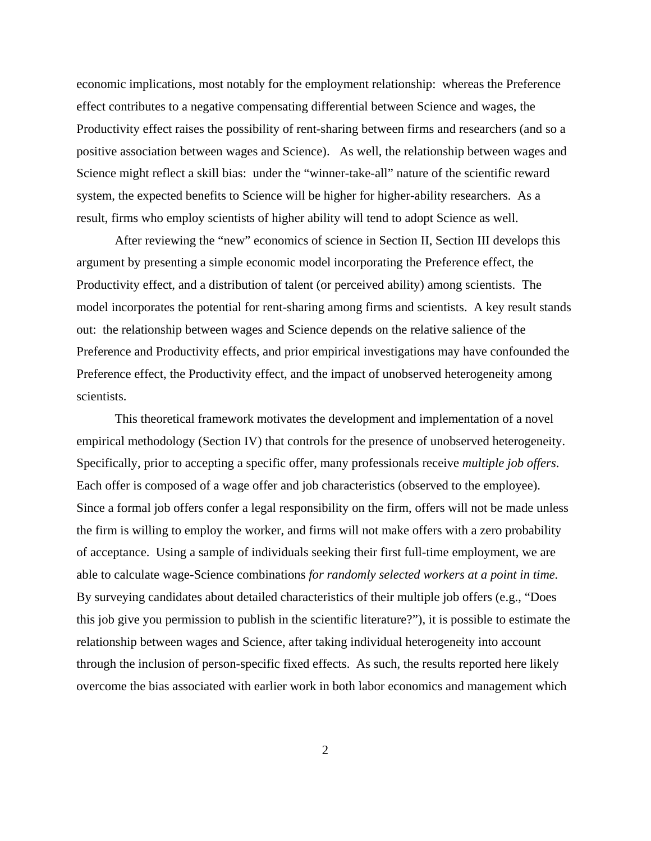economic implications, most notably for the employment relationship: whereas the Preference effect contributes to a negative compensating differential between Science and wages, the Productivity effect raises the possibility of rent-sharing between firms and researchers (and so a positive association between wages and Science). As well, the relationship between wages and Science might reflect a skill bias: under the "winner-take-all" nature of the scientific reward system, the expected benefits to Science will be higher for higher-ability researchers. As a result, firms who employ scientists of higher ability will tend to adopt Science as well.

After reviewing the "new" economics of science in Section II, Section III develops this argument by presenting a simple economic model incorporating the Preference effect, the Productivity effect, and a distribution of talent (or perceived ability) among scientists. The model incorporates the potential for rent-sharing among firms and scientists. A key result stands out: the relationship between wages and Science depends on the relative salience of the Preference and Productivity effects, and prior empirical investigations may have confounded the Preference effect, the Productivity effect, and the impact of unobserved heterogeneity among scientists.

This theoretical framework motivates the development and implementation of a novel empirical methodology (Section IV) that controls for the presence of unobserved heterogeneity. Specifically, prior to accepting a specific offer, many professionals receive *multiple job offers*. Each offer is composed of a wage offer and job characteristics (observed to the employee). Since a formal job offers confer a legal responsibility on the firm, offers will not be made unless the firm is willing to employ the worker, and firms will not make offers with a zero probability of acceptance. Using a sample of individuals seeking their first full-time employment, we are able to calculate wage-Science combinations *for randomly selected workers at a point in time.* By surveying candidates about detailed characteristics of their multiple job offers (e.g., "Does this job give you permission to publish in the scientific literature?"), it is possible to estimate the relationship between wages and Science, after taking individual heterogeneity into account through the inclusion of person-specific fixed effects. As such, the results reported here likely overcome the bias associated with earlier work in both labor economics and management which

2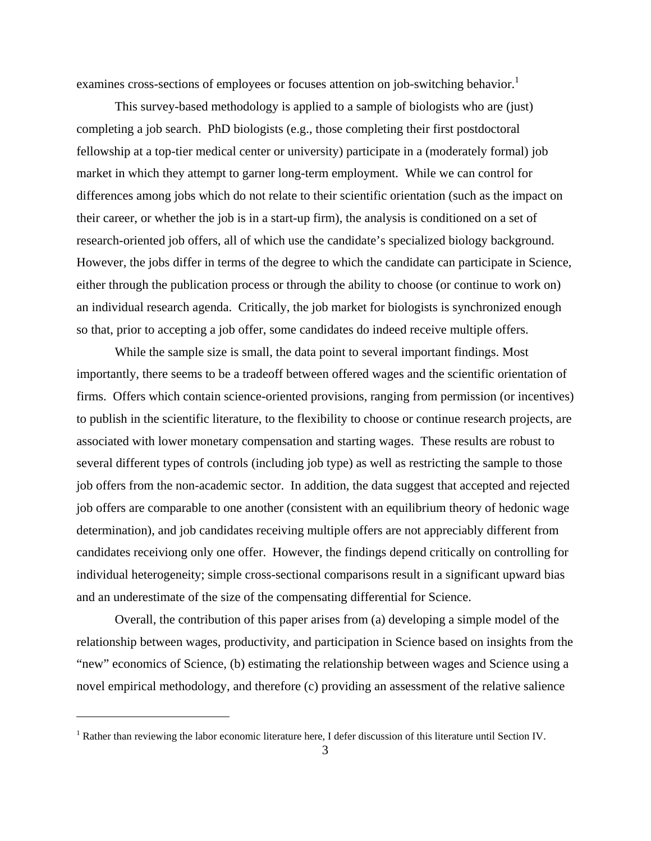examines cross-sections of employees or focuses attention on job-switching behavior.<sup>[1](#page-4-0)</sup>

This survey-based methodology is applied to a sample of biologists who are (just) completing a job search. PhD biologists (e.g., those completing their first postdoctoral fellowship at a top-tier medical center or university) participate in a (moderately formal) job market in which they attempt to garner long-term employment. While we can control for differences among jobs which do not relate to their scientific orientation (such as the impact on their career, or whether the job is in a start-up firm), the analysis is conditioned on a set of research-oriented job offers, all of which use the candidate's specialized biology background. However, the jobs differ in terms of the degree to which the candidate can participate in Science, either through the publication process or through the ability to choose (or continue to work on) an individual research agenda. Critically, the job market for biologists is synchronized enough so that, prior to accepting a job offer, some candidates do indeed receive multiple offers.

While the sample size is small, the data point to several important findings. Most importantly, there seems to be a tradeoff between offered wages and the scientific orientation of firms. Offers which contain science-oriented provisions, ranging from permission (or incentives) to publish in the scientific literature, to the flexibility to choose or continue research projects, are associated with lower monetary compensation and starting wages. These results are robust to several different types of controls (including job type) as well as restricting the sample to those job offers from the non-academic sector. In addition, the data suggest that accepted and rejected job offers are comparable to one another (consistent with an equilibrium theory of hedonic wage determination), and job candidates receiving multiple offers are not appreciably different from candidates receiviong only one offer. However, the findings depend critically on controlling for individual heterogeneity; simple cross-sectional comparisons result in a significant upward bias and an underestimate of the size of the compensating differential for Science.

Overall, the contribution of this paper arises from (a) developing a simple model of the relationship between wages, productivity, and participation in Science based on insights from the "new" economics of Science, (b) estimating the relationship between wages and Science using a novel empirical methodology, and therefore (c) providing an assessment of the relative salience

<span id="page-4-0"></span><sup>&</sup>lt;sup>1</sup> Rather than reviewing the labor economic literature here, I defer discussion of this literature until Section IV.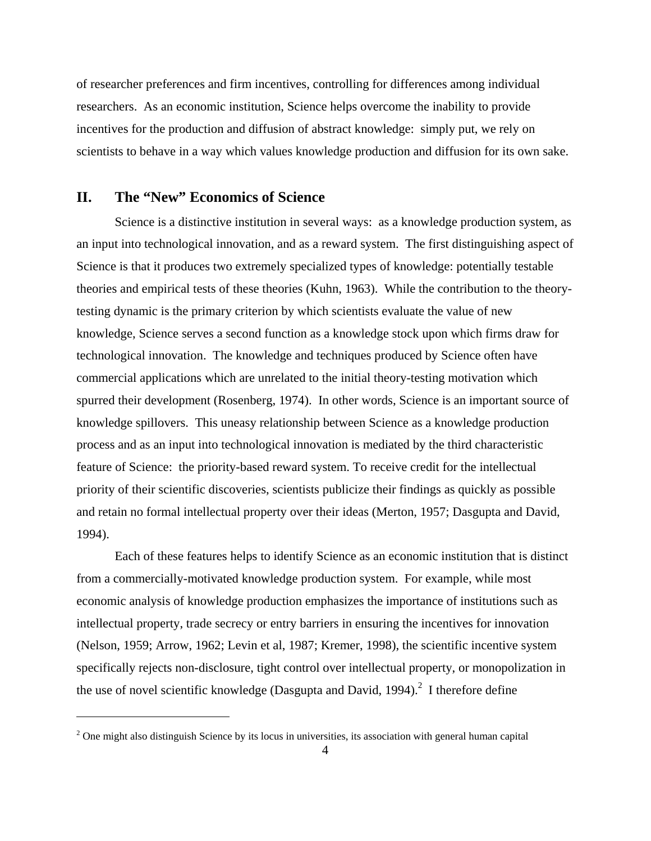of researcher preferences and firm incentives, controlling for differences among individual researchers. As an economic institution, Science helps overcome the inability to provide incentives for the production and diffusion of abstract knowledge: simply put, we rely on scientists to behave in a way which values knowledge production and diffusion for its own sake.

# **II. The "New" Economics of Science**

 $\overline{a}$ 

Science is a distinctive institution in several ways: as a knowledge production system, as an input into technological innovation, and as a reward system. The first distinguishing aspect of Science is that it produces two extremely specialized types of knowledge: potentially testable theories and empirical tests of these theories (Kuhn, 1963). While the contribution to the theorytesting dynamic is the primary criterion by which scientists evaluate the value of new knowledge, Science serves a second function as a knowledge stock upon which firms draw for technological innovation. The knowledge and techniques produced by Science often have commercial applications which are unrelated to the initial theory-testing motivation which spurred their development (Rosenberg, 1974). In other words, Science is an important source of knowledge spillovers. This uneasy relationship between Science as a knowledge production process and as an input into technological innovation is mediated by the third characteristic feature of Science: the priority-based reward system. To receive credit for the intellectual priority of their scientific discoveries, scientists publicize their findings as quickly as possible and retain no formal intellectual property over their ideas (Merton, 1957; Dasgupta and David, 1994).

Each of these features helps to identify Science as an economic institution that is distinct from a commercially-motivated knowledge production system. For example, while most economic analysis of knowledge production emphasizes the importance of institutions such as intellectual property, trade secrecy or entry barriers in ensuring the incentives for innovation (Nelson, 1959; Arrow, 1962; Levin et al, 1987; Kremer, 1998), the scientific incentive system specifically rejects non-disclosure, tight control over intellectual property, or monopolization in the use of novel scientific knowledge (Dasgupta and David, 1994).<sup>[2](#page-5-0)</sup> I therefore define

<span id="page-5-0"></span> $2$  One might also distinguish Science by its locus in universities, its association with general human capital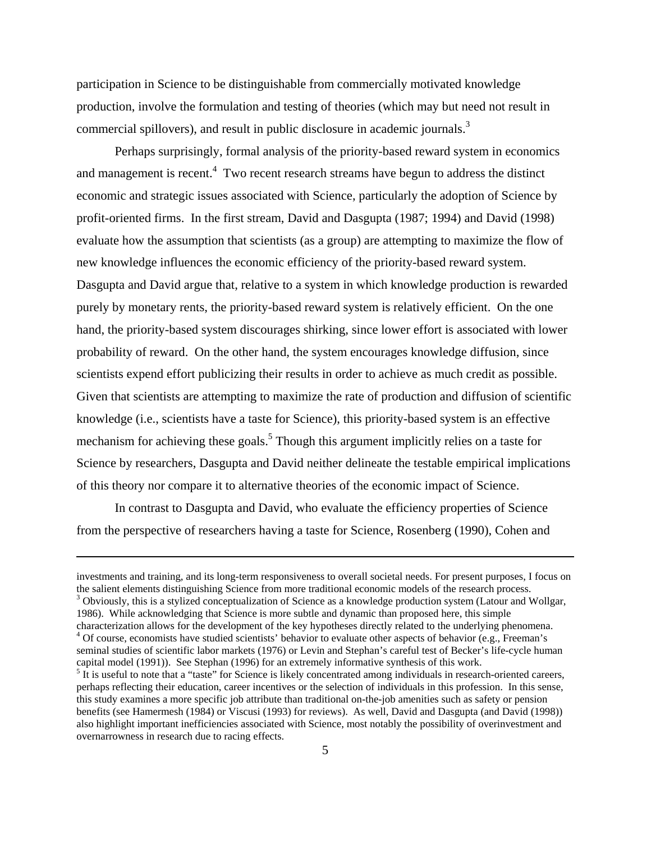participation in Science to be distinguishable from commercially motivated knowledge production, involve the formulation and testing of theories (which may but need not result in commercial spillovers), and result in public disclosure in academic journals.<sup>[3](#page-6-0)</sup>

Perhaps surprisingly, formal analysis of the priority-based reward system in economics and management is recent. $4$  Two recent research streams have begun to address the distinct economic and strategic issues associated with Science, particularly the adoption of Science by profit-oriented firms. In the first stream, David and Dasgupta (1987; 1994) and David (1998) evaluate how the assumption that scientists (as a group) are attempting to maximize the flow of new knowledge influences the economic efficiency of the priority-based reward system. Dasgupta and David argue that, relative to a system in which knowledge production is rewarded purely by monetary rents, the priority-based reward system is relatively efficient. On the one hand, the priority-based system discourages shirking, since lower effort is associated with lower probability of reward. On the other hand, the system encourages knowledge diffusion, since scientists expend effort publicizing their results in order to achieve as much credit as possible. Given that scientists are attempting to maximize the rate of production and diffusion of scientific knowledge (i.e., scientists have a taste for Science), this priority-based system is an effective mechanism for achieving these goals.<sup>5</sup> Though this argument implicitly relies on a taste for Science by researchers, Dasgupta and David neither delineate the testable empirical implications of this theory nor compare it to alternative theories of the economic impact of Science.

In contrast to Dasgupta and David, who evaluate the efficiency properties of Science from the perspective of researchers having a taste for Science, Rosenberg (1990), Cohen and

<u>.</u>

investments and training, and its long-term responsiveness to overall societal needs. For present purposes, I focus on the salient elements distinguishing Science from more traditional economic models of the research process.

<span id="page-6-0"></span> $3$  Obviously, this is a stylized conceptualization of Science as a knowledge production system (Latour and Wollgar, 1986). While acknowledging that Science is more subtle and dynamic than proposed here, this simple characterization allows for the development of the key hypotheses directly related to the underlying phenomena. 4

<span id="page-6-1"></span><sup>&</sup>lt;sup>4</sup> Of course, economists have studied scientists' behavior to evaluate other aspects of behavior (e.g., Freeman's seminal studies of scientific labor markets (1976) or Levin and Stephan's careful test of Becker's life-cycle human capital model (1991)). See Stephan (1996) for an extremely informative synthesis of this work.

<span id="page-6-2"></span> $<sup>5</sup>$  It is useful to note that a "taste" for Science is likely concentrated among individuals in research-oriented careers,</sup> perhaps reflecting their education, career incentives or the selection of individuals in this profession. In this sense, this study examines a more specific job attribute than traditional on-the-job amenities such as safety or pension benefits (see Hamermesh (1984) or Viscusi (1993) for reviews). As well, David and Dasgupta (and David (1998)) also highlight important inefficiencies associated with Science, most notably the possibility of overinvestment and overnarrowness in research due to racing effects.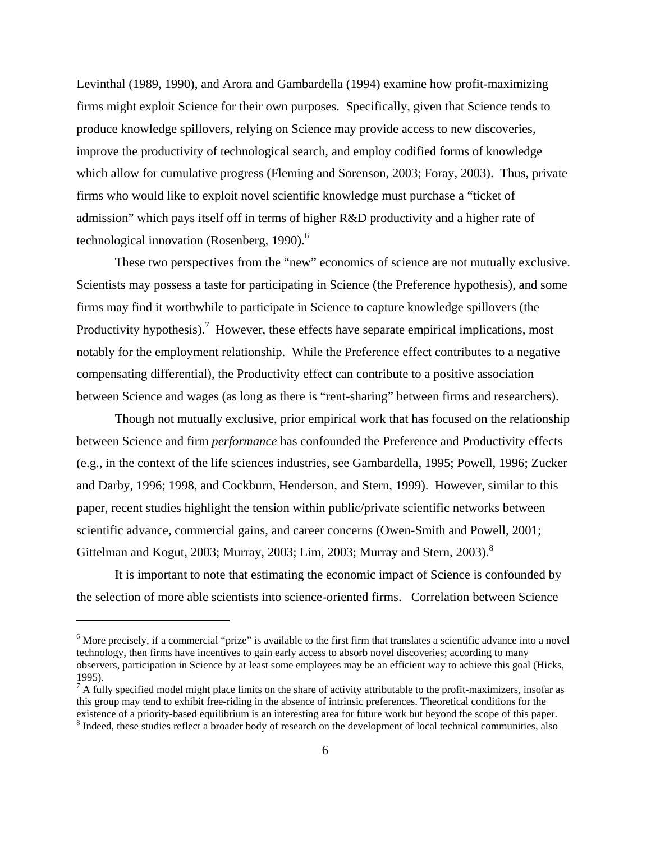Levinthal (1989, 1990), and Arora and Gambardella (1994) examine how profit-maximizing firms might exploit Science for their own purposes. Specifically, given that Science tends to produce knowledge spillovers, relying on Science may provide access to new discoveries, improve the productivity of technological search, and employ codified forms of knowledge which allow for cumulative progress (Fleming and Sorenson, 2003; Foray, 2003). Thus, private firms who would like to exploit novel scientific knowledge must purchase a "ticket of admission" which pays itself off in terms of higher R&D productivity and a higher rate of technological innovation (Rosenberg, 1990). $<sup>6</sup>$ </sup>

These two perspectives from the "new" economics of science are not mutually exclusive. Scientists may possess a taste for participating in Science (the Preference hypothesis), and some firms may find it worthwhile to participate in Science to capture knowledge spillovers (the Productivity hypothesis).<sup>[7](#page-7-1)</sup> However, these effects have separate empirical implications, most notably for the employment relationship. While the Preference effect contributes to a negative compensating differential), the Productivity effect can contribute to a positive association between Science and wages (as long as there is "rent-sharing" between firms and researchers).

Though not mutually exclusive, prior empirical work that has focused on the relationship between Science and firm *performance* has confounded the Preference and Productivity effects (e.g., in the context of the life sciences industries, see Gambardella, 1995; Powell, 1996; Zucker and Darby, 1996; 1998, and Cockburn, Henderson, and Stern, 1999). However, similar to this paper, recent studies highlight the tension within public/private scientific networks between scientific advance, commercial gains, and career concerns (Owen-Smith and Powell, 2001; Gittelman and Kogut, 2003; Murray, 2003; Lim, 2003; Murray and Stern, 2003).<sup>[8](#page-7-2)</sup>

It is important to note that estimating the economic impact of Science is confounded by the selection of more able scientists into science-oriented firms. Correlation between Science

<span id="page-7-0"></span> $6$  More precisely, if a commercial "prize" is available to the first firm that translates a scientific advance into a novel technology, then firms have incentives to gain early access to absorb novel discoveries; according to many observers, participation in Science by at least some employees may be an efficient way to achieve this goal (Hicks, 1995).

<span id="page-7-2"></span><span id="page-7-1"></span> $<sup>7</sup>$  A fully specified model might place limits on the share of activity attributable to the profit-maximizers, insofar as</sup> this group may tend to exhibit free-riding in the absence of intrinsic preferences. Theoretical conditions for the existence of a priority-based equilibrium is an interesting area for future work but beyond the scope of this paper. <sup>8</sup> Indeed, these studies reflect a broader body of research on the development of local technical communities, also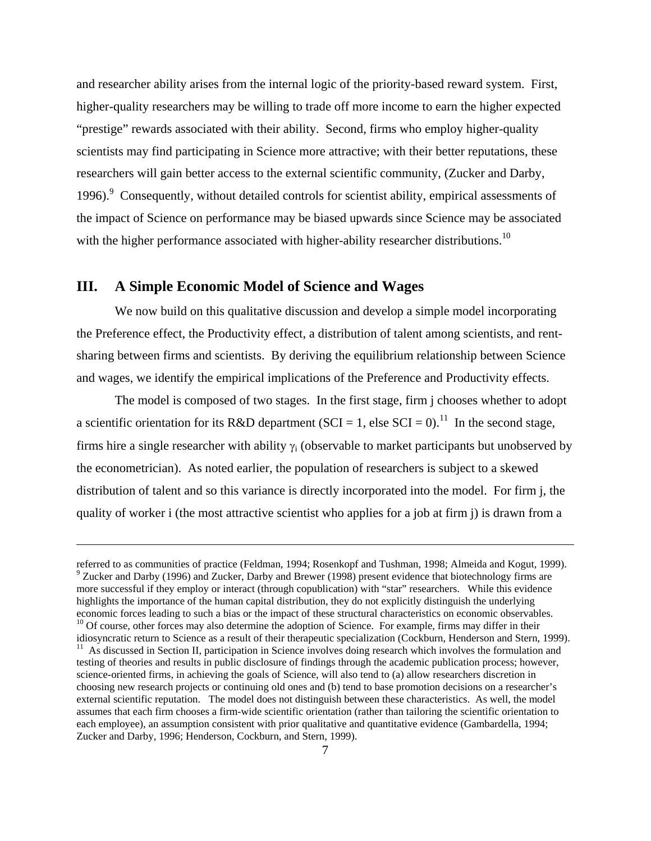and researcher ability arises from the internal logic of the priority-based reward system. First, higher-quality researchers may be willing to trade off more income to earn the higher expected "prestige" rewards associated with their ability. Second, firms who employ higher-quality scientists may find participating in Science more attractive; with their better reputations, these researchers will gain better access to the external scientific community, (Zucker and Darby, 1996).<sup>9</sup> Consequently, without detailed controls for scientist ability, empirical assessments of the impact of Science on performance may be biased upwards since Science may be associated with the higher performance associated with higher-ability researcher distributions.<sup>10</sup>

## **III. A Simple Economic Model of Science and Wages**

 $\overline{a}$ 

We now build on this qualitative discussion and develop a simple model incorporating the Preference effect, the Productivity effect, a distribution of talent among scientists, and rentsharing between firms and scientists. By deriving the equilibrium relationship between Science and wages, we identify the empirical implications of the Preference and Productivity effects.

The model is composed of two stages. In the first stage, firm j chooses whether to adopt a scientific orientation for its R&D department (SCI = 1, else SCI = 0).<sup>11</sup> In the second stage, firms hire a single researcher with ability  $\gamma_i$  (observable to market participants but unobserved by the econometrician). As noted earlier, the population of researchers is subject to a skewed distribution of talent and so this variance is directly incorporated into the model. For firm j, the quality of worker i (the most attractive scientist who applies for a job at firm j) is drawn from a

<span id="page-8-2"></span><span id="page-8-1"></span><span id="page-8-0"></span>referred to as communities of practice (Feldman, 1994; Rosenkopf and Tushman, 1998; Almeida and Kogut, 1999).  $9$  Zucker and Darby (1996) and Zucker, Darby and Brewer (1998) present evidence that biotechnology firms are more successful if they employ or interact (through copublication) with "star" researchers. While this evidence highlights the importance of the human capital distribution, they do not explicitly distinguish the underlying<br>economic forces leading to such a bias or the impact of these structural characteristics on economic observable <sup>10</sup> Of course, other forces may also determine the adoption of Science. For example, firms may differ in their idiosyncratic return to Science as a result of their therapeutic specialization (Cockburn, Henderson and Ster  $11$  As discussed in Section II, participation in Science involves doing research which involves the formulation and testing of theories and results in public disclosure of findings through the academic publication process; however, science-oriented firms, in achieving the goals of Science, will also tend to (a) allow researchers discretion in choosing new research projects or continuing old ones and (b) tend to base promotion decisions on a researcher's external scientific reputation. The model does not distinguish between these characteristics. As well, the model assumes that each firm chooses a firm-wide scientific orientation (rather than tailoring the scientific orientation to each employee), an assumption consistent with prior qualitative and quantitative evidence (Gambardella, 1994; Zucker and Darby, 1996; Henderson, Cockburn, and Stern, 1999).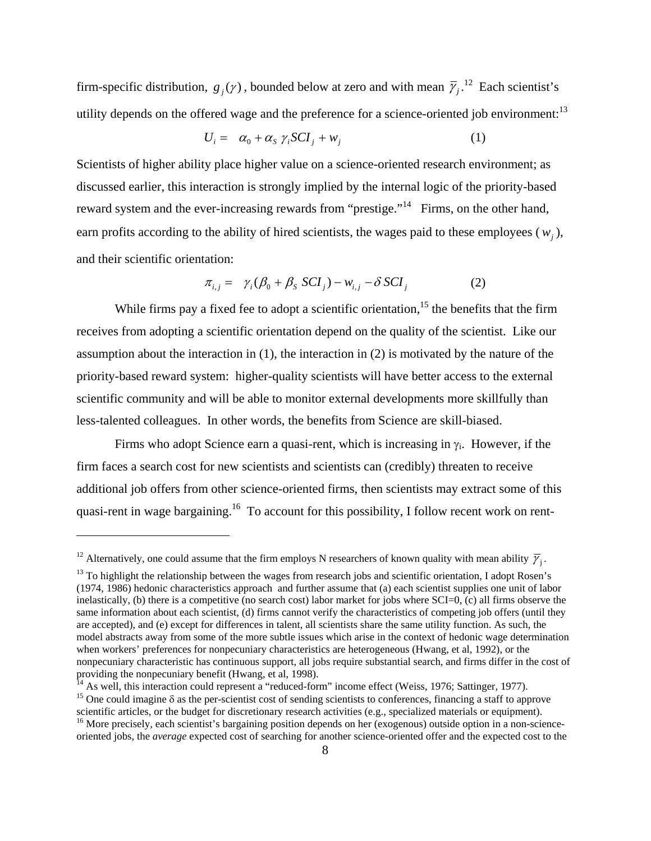firm-specific distribution,  $g_j(\gamma)$ , bounded below at zero and with mean  $\overline{\gamma}_j$ .<sup>12</sup> Each scientist's utility depends on the offered wage and the preference for a science-oriented job environment:<sup>13</sup>

$$
U_i = \alpha_0 + \alpha_s \gamma_i \text{SCI}_j + w_j \tag{1}
$$

Scientists of higher ability place higher value on a science-oriented research environment; as discussed earlier, this interaction is strongly implied by the internal logic of the priority-based reward system and the ever-increasing rewards from "prestige."<sup>14</sup> Firms, on the other hand, earn profits according to the ability of hired scientists, the wages paid to these employees  $(w_i)$ , and their scientific orientation:

$$
\pi_{i,j} = \gamma_i (\beta_0 + \beta_s SCI_j) - w_{i,j} - \delta SCI_j \tag{2}
$$

While firms pay a fixed fee to adopt a scientific orientation,<sup>15</sup> the benefits that the firm receives from adopting a scientific orientation depend on the quality of the scientist. Like our assumption about the interaction in  $(1)$ , the interaction in  $(2)$  is motivated by the nature of the priority-based reward system: higher-quality scientists will have better access to the external scientific community and will be able to monitor external developments more skillfully than less-talented colleagues. In other words, the benefits from Science are skill-biased.

Firms who adopt Science earn a quasi-rent, which is increasing in  $\gamma_i$ . However, if the firm faces a search cost for new scientists and scientists can (credibly) threaten to receive additional job offers from other science-oriented firms, then scientists may extract some of this quasi-rent in wage bargaining.<sup>16</sup> To account for this possibility, I follow recent work on rent-

1

<span id="page-9-0"></span><sup>&</sup>lt;sup>12</sup> Alternatively, one could assume that the firm employs N researchers of known quality with mean ability  $\overline{\gamma}_i$ .

<span id="page-9-1"></span> $13$  To highlight the relationship between the wages from research jobs and scientific orientation, I adopt Rosen's (1974, 1986) hedonic characteristics approach and further assume that (a) each scientist supplies one unit of labor inelastically, (b) there is a competitive (no search cost) labor market for jobs where SCI=0, (c) all firms observe the same information about each scientist, (d) firms cannot verify the characteristics of competing job offers (until they are accepted), and (e) except for differences in talent, all scientists share the same utility function. As such, the model abstracts away from some of the more subtle issues which arise in the context of hedonic wage determination when workers' preferences for nonpecuniary characteristics are heterogeneous (Hwang, et al, 1992), or the nonpecuniary characteristic has continuous support, all jobs require substantial search, and firms differ in the cost of providing the nonpecuniary benefit (Hwang, et al, 1998).

<span id="page-9-2"></span><sup>&</sup>lt;sup>14</sup> As well, this interaction could represent a "reduced-form" income effect (Weiss, 1976; Sattinger, 1977).<br><sup>15</sup> One could imagine  $\delta$  as the per-scientist cost of sending scientists to conferences, financing a staff t

<span id="page-9-3"></span>scientific articles, or the budget for discretionary research activities (e.g., specialized materials or equipment).

<span id="page-9-4"></span><sup>&</sup>lt;sup>16</sup> More precisely, each scientist's bargaining position depends on her (exogenous) outside option in a non-scienceoriented jobs, the *average* expected cost of searching for another science-oriented offer and the expected cost to the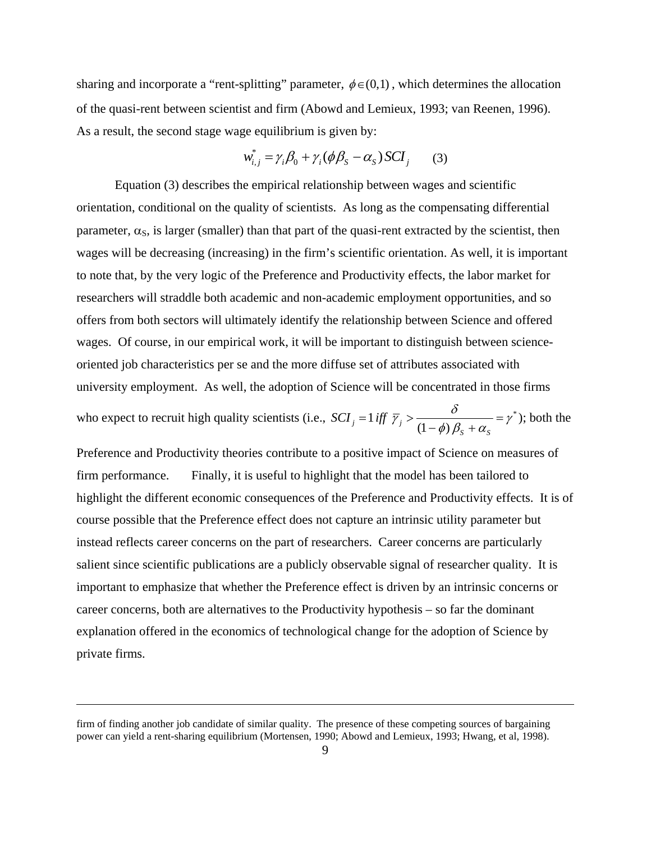sharing and incorporate a "rent-splitting" parameter,  $\phi \in (0,1)$ , which determines the allocation of the quasi-rent between scientist and firm (Abowd and Lemieux, 1993; van Reenen, 1996). As a result, the second stage wage equilibrium is given by:

$$
w_{i,j}^* = \gamma_i \beta_0 + \gamma_i (\phi \beta_s - \alpha_s) SCI_j \qquad (3)
$$

Equation (3) describes the empirical relationship between wages and scientific orientation, conditional on the quality of scientists. As long as the compensating differential parameter,  $\alpha_s$ , is larger (smaller) than that part of the quasi-rent extracted by the scientist, then wages will be decreasing (increasing) in the firm's scientific orientation. As well, it is important to note that, by the very logic of the Preference and Productivity effects, the labor market for researchers will straddle both academic and non-academic employment opportunities, and so offers from both sectors will ultimately identify the relationship between Science and offered wages. Of course, in our empirical work, it will be important to distinguish between scienceoriented job characteristics per se and the more diffuse set of attributes associated with university employment. As well, the adoption of Science will be concentrated in those firms who expect to recruit high quality scientists (i.e.,  $\overline{SCI}_i = 1$  iff  $\overline{\gamma}_i > \frac{0}{\sqrt{1-\gamma}} = \gamma^*$  $(1 - \phi)$  $\delta_j = 1$  iff  $\overline{\gamma}_j > \frac{\delta}{(1-\phi)\beta_s + \alpha_s} = \gamma$  $\mathcal{S}CI_i = 1$  iff  $\bar{\gamma}_i > \frac{6}{(1-\beta)(1-\beta)} = \gamma^*$ ; both the

Preference and Productivity theories contribute to a positive impact of Science on measures of firm performance. Finally, it is useful to highlight that the model has been tailored to highlight the different economic consequences of the Preference and Productivity effects. It is of course possible that the Preference effect does not capture an intrinsic utility parameter but instead reflects career concerns on the part of researchers. Career concerns are particularly salient since scientific publications are a publicly observable signal of researcher quality. It is important to emphasize that whether the Preference effect is driven by an intrinsic concerns or career concerns, both are alternatives to the Productivity hypothesis – so far the dominant explanation offered in the economics of technological change for the adoption of Science by private firms.

firm of finding another job candidate of similar quality. The presence of these competing sources of bargaining power can yield a rent-sharing equilibrium (Mortensen, 1990; Abowd and Lemieux, 1993; Hwang, et al, 1998).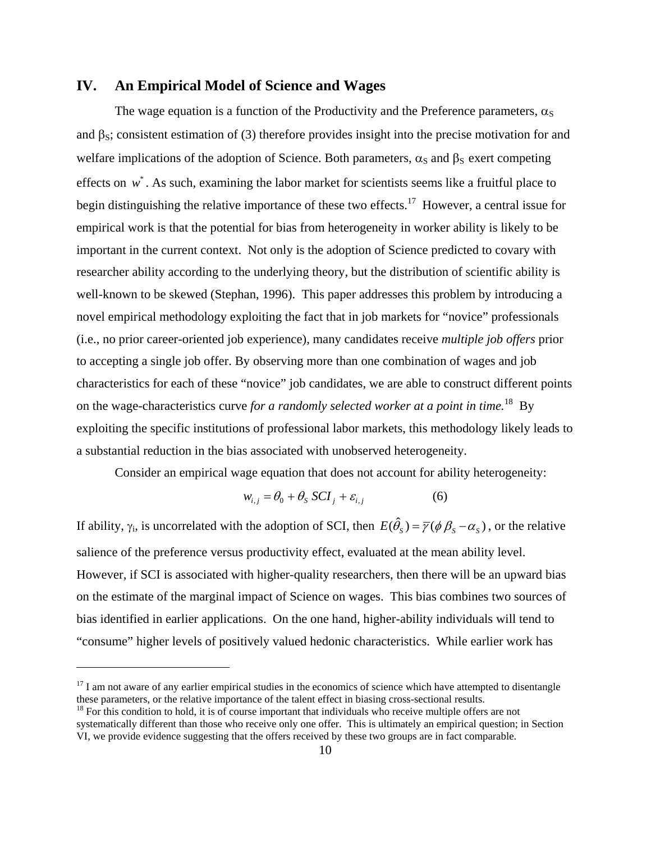## **IV. An Empirical Model of Science and Wages**

The wage equation is a function of the Productivity and the Preference parameters,  $\alpha_s$ and  $\beta_s$ ; consistent estimation of (3) therefore provides insight into the precise motivation for and welfare implications of the adoption of Science. Both parameters,  $\alpha_s$  and  $\beta_s$  exert competing effects on  $w^*$ . As such, examining the labor market for scientists seems like a fruitful place to begin distinguishing the relative importance of these two effects.<sup>17</sup> However, a central issue for empirical work is that the potential for bias from heterogeneity in worker ability is likely to be important in the current context. Not only is the adoption of Science predicted to covary with researcher ability according to the underlying theory, but the distribution of scientific ability is well-known to be skewed (Stephan, 1996). This paper addresses this problem by introducing a novel empirical methodology exploiting the fact that in job markets for "novice" professionals (i.e., no prior career-oriented job experience), many candidates receive *multiple job offers* prior to accepting a single job offer. By observing more than one combination of wages and job characteristics for each of these "novice" job candidates, we are able to construct different points on the wage-characteristics curve *for a randomly selected worker at a point in time.*[18](#page-11-1) By exploiting the specific institutions of professional labor markets, this methodology likely leads to a substantial reduction in the bias associated with unobserved heterogeneity.

Consider an empirical wage equation that does not account for ability heterogeneity:

$$
w_{i,j} = \theta_0 + \theta_s \, SCI_j + \varepsilon_{i,j} \tag{6}
$$

If ability,  $\gamma_i$ , is uncorrelated with the adoption of SCI, then  $E(\hat{\theta}_s) = \overline{\gamma}(\phi \beta_s - \alpha_s)$ , or the relative salience of the preference versus productivity effect, evaluated at the mean ability level. However, if SCI is associated with higher-quality researchers, then there will be an upward bias on the estimate of the marginal impact of Science on wages. This bias combines two sources of bias identified in earlier applications. On the one hand, higher-ability individuals will tend to "consume" higher levels of positively valued hedonic characteristics. While earlier work has

<span id="page-11-0"></span> $17$  I am not aware of any earlier empirical studies in the economics of science which have attempted to disentangle these parameters, or the relative importance of the talent effect in biasing cross-sectional results. 18 For this condition to hold, it is of course important that individuals who receive multiple offers are not

<span id="page-11-1"></span>systematically different than those who receive only one offer. This is ultimately an empirical question; in Section VI, we provide evidence suggesting that the offers received by these two groups are in fact comparable.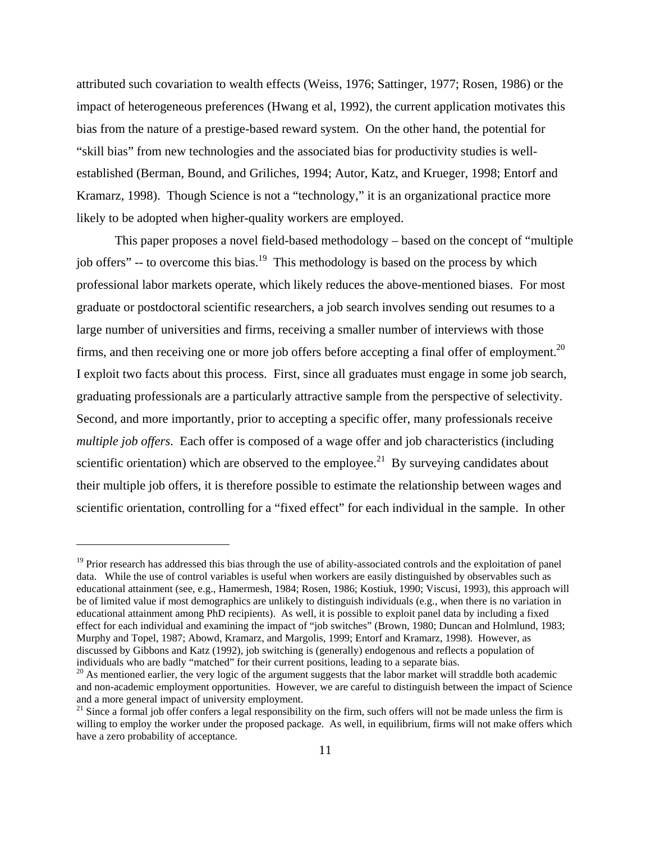attributed such covariation to wealth effects (Weiss, 1976; Sattinger, 1977; Rosen, 1986) or the impact of heterogeneous preferences (Hwang et al, 1992), the current application motivates this bias from the nature of a prestige-based reward system. On the other hand, the potential for "skill bias" from new technologies and the associated bias for productivity studies is wellestablished (Berman, Bound, and Griliches, 1994; Autor, Katz, and Krueger, 1998; Entorf and Kramarz, 1998). Though Science is not a "technology," it is an organizational practice more likely to be adopted when higher-quality workers are employed.

This paper proposes a novel field-based methodology – based on the concept of "multiple job offers" -- to overcome this bias.<sup>19</sup> This methodology is based on the process by which professional labor markets operate, which likely reduces the above-mentioned biases. For most graduate or postdoctoral scientific researchers, a job search involves sending out resumes to a large number of universities and firms, receiving a smaller number of interviews with those firms, and then receiving one or more job offers before accepting a final offer of employment.<sup>20</sup> I exploit two facts about this process. First, since all graduates must engage in some job search, graduating professionals are a particularly attractive sample from the perspective of selectivity. Second, and more importantly, prior to accepting a specific offer, many professionals receive *multiple job offers*. Each offer is composed of a wage offer and job characteristics (including scientific orientation) which are observed to the employee.<sup>21</sup> By surveying candidates about their multiple job offers, it is therefore possible to estimate the relationship between wages and scientific orientation, controlling for a "fixed effect" for each individual in the sample. In other

<span id="page-12-0"></span><sup>&</sup>lt;sup>19</sup> Prior research has addressed this bias through the use of ability-associated controls and the exploitation of panel data. While the use of control variables is useful when workers are easily distinguished by observables such as educational attainment (see, e.g., Hamermesh, 1984; Rosen, 1986; Kostiuk, 1990; Viscusi, 1993), this approach will be of limited value if most demographics are unlikely to distinguish individuals (e.g., when there is no variation in educational attainment among PhD recipients). As well, it is possible to exploit panel data by including a fixed effect for each individual and examining the impact of "job switches" (Brown, 1980; Duncan and Holmlund, 1983; Murphy and Topel, 1987; Abowd, Kramarz, and Margolis, 1999; Entorf and Kramarz, 1998). However, as discussed by Gibbons and Katz (1992), job switching is (generally) endogenous and reflects a population of individuals who are badly "matched" for their current positions, leading to a separate bias.

<span id="page-12-1"></span> $^{20}$  As mentioned earlier, the very logic of the argument suggests that the labor market will straddle both academic and non-academic employment opportunities. However, we are careful to distinguish between the impact of Science and a more general impact of university employment.

<span id="page-12-2"></span> $21$  Since a formal job offer confers a legal responsibility on the firm, such offers will not be made unless the firm is willing to employ the worker under the proposed package. As well, in equilibrium, firms will not make offers which have a zero probability of acceptance.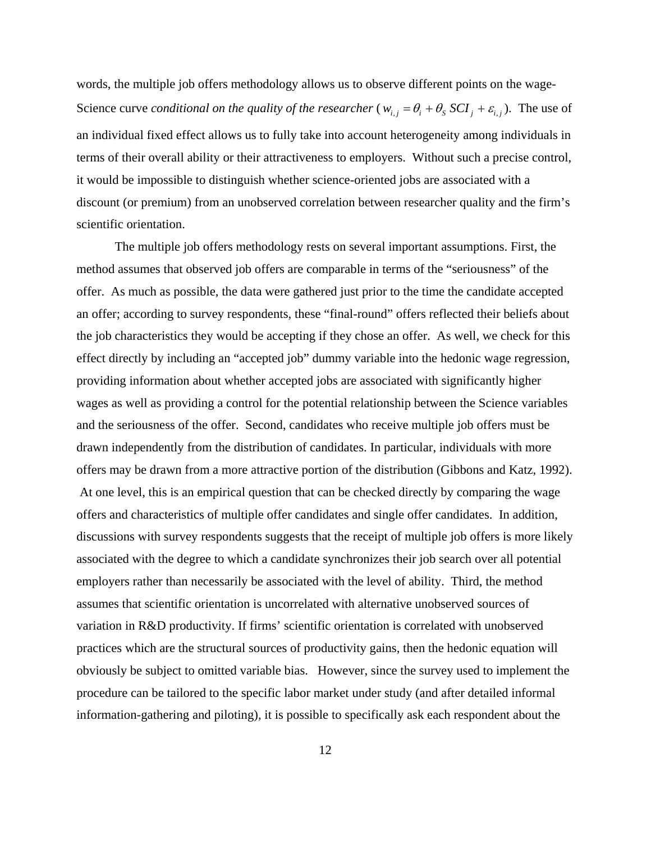words, the multiple job offers methodology allows us to observe different points on the wage-Science curve *conditional on the quality of the researcher* ( $w_{i,j} = \theta_i + \theta_s SCI_j + \varepsilon_{i,j}$ ). The use of an individual fixed effect allows us to fully take into account heterogeneity among individuals in terms of their overall ability or their attractiveness to employers. Without such a precise control, it would be impossible to distinguish whether science-oriented jobs are associated with a discount (or premium) from an unobserved correlation between researcher quality and the firm's scientific orientation.

The multiple job offers methodology rests on several important assumptions. First, the method assumes that observed job offers are comparable in terms of the "seriousness" of the offer. As much as possible, the data were gathered just prior to the time the candidate accepted an offer; according to survey respondents, these "final-round" offers reflected their beliefs about the job characteristics they would be accepting if they chose an offer. As well, we check for this effect directly by including an "accepted job" dummy variable into the hedonic wage regression, providing information about whether accepted jobs are associated with significantly higher wages as well as providing a control for the potential relationship between the Science variables and the seriousness of the offer. Second, candidates who receive multiple job offers must be drawn independently from the distribution of candidates. In particular, individuals with more offers may be drawn from a more attractive portion of the distribution (Gibbons and Katz, 1992). At one level, this is an empirical question that can be checked directly by comparing the wage offers and characteristics of multiple offer candidates and single offer candidates. In addition, discussions with survey respondents suggests that the receipt of multiple job offers is more likely associated with the degree to which a candidate synchronizes their job search over all potential employers rather than necessarily be associated with the level of ability. Third, the method assumes that scientific orientation is uncorrelated with alternative unobserved sources of variation in R&D productivity. If firms' scientific orientation is correlated with unobserved practices which are the structural sources of productivity gains, then the hedonic equation will obviously be subject to omitted variable bias. However, since the survey used to implement the procedure can be tailored to the specific labor market under study (and after detailed informal information-gathering and piloting), it is possible to specifically ask each respondent about the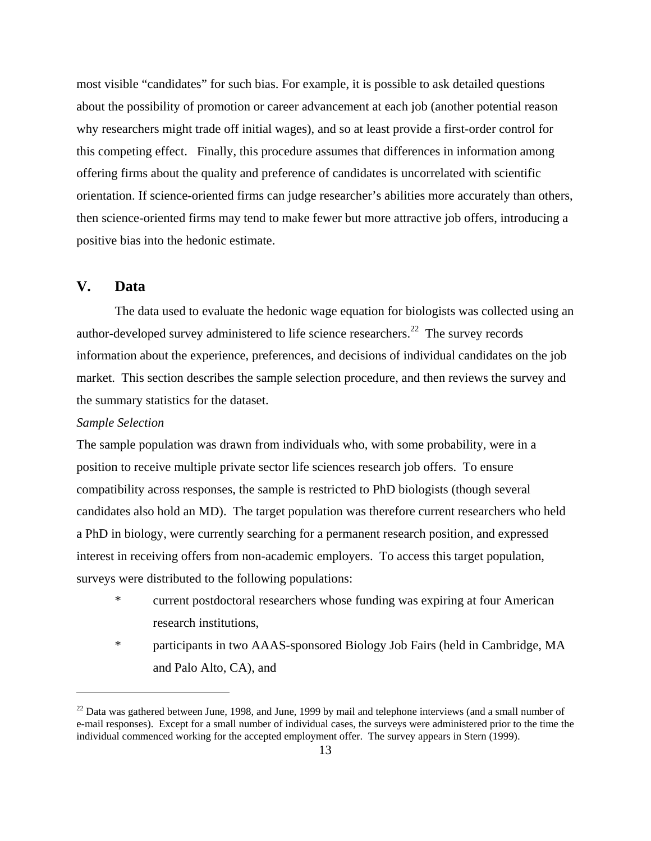most visible "candidates" for such bias. For example, it is possible to ask detailed questions about the possibility of promotion or career advancement at each job (another potential reason why researchers might trade off initial wages), and so at least provide a first-order control for this competing effect. Finally, this procedure assumes that differences in information among offering firms about the quality and preference of candidates is uncorrelated with scientific orientation. If science-oriented firms can judge researcher's abilities more accurately than others, then science-oriented firms may tend to make fewer but more attractive job offers, introducing a positive bias into the hedonic estimate.

## **V. Data**

The data used to evaluate the hedonic wage equation for biologists was collected using an author-developed survey administered to life science researchers.<sup>22</sup> The survey records information about the experience, preferences, and decisions of individual candidates on the job market. This section describes the sample selection procedure, and then reviews the survey and the summary statistics for the dataset.

## *Sample Selection*

 $\overline{a}$ 

The sample population was drawn from individuals who, with some probability, were in a position to receive multiple private sector life sciences research job offers. To ensure compatibility across responses, the sample is restricted to PhD biologists (though several candidates also hold an MD). The target population was therefore current researchers who held a PhD in biology, were currently searching for a permanent research position, and expressed interest in receiving offers from non-academic employers. To access this target population, surveys were distributed to the following populations:

- \* current postdoctoral researchers whose funding was expiring at four American research institutions,
- \* participants in two AAAS-sponsored Biology Job Fairs (held in Cambridge, MA and Palo Alto, CA), and

<span id="page-14-0"></span> $^{22}$  Data was gathered between June, 1998, and June, 1999 by mail and telephone interviews (and a small number of e-mail responses). Except for a small number of individual cases, the surveys were administered prior to the time the individual commenced working for the accepted employment offer. The survey appears in Stern (1999).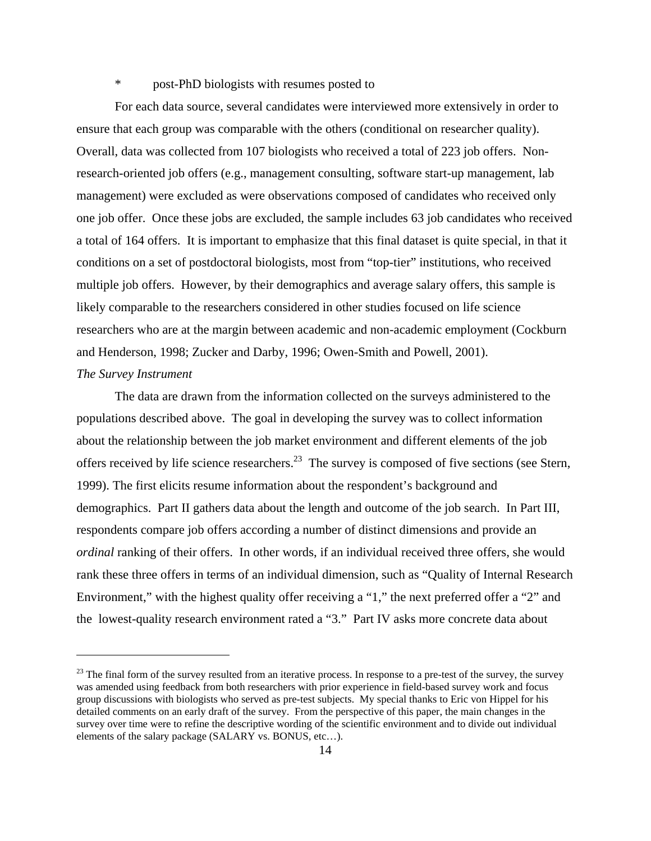## \* post-PhD biologists with resumes posted to

For each data source, several candidates were interviewed more extensively in order to ensure that each group was comparable with the others (conditional on researcher quality). Overall, data was collected from 107 biologists who received a total of 223 job offers. Nonresearch-oriented job offers (e.g., management consulting, software start-up management, lab management) were excluded as were observations composed of candidates who received only one job offer. Once these jobs are excluded, the sample includes 63 job candidates who received a total of 164 offers. It is important to emphasize that this final dataset is quite special, in that it conditions on a set of postdoctoral biologists, most from "top-tier" institutions, who received multiple job offers. However, by their demographics and average salary offers, this sample is likely comparable to the researchers considered in other studies focused on life science researchers who are at the margin between academic and non-academic employment (Cockburn and Henderson, 1998; Zucker and Darby, 1996; Owen-Smith and Powell, 2001).

## *The Survey Instrument*

<u>.</u>

The data are drawn from the information collected on the surveys administered to the populations described above. The goal in developing the survey was to collect information about the relationship between the job market environment and different elements of the job offers received by life science researchers.<sup>23</sup> The survey is composed of five sections (see Stern, 1999). The first elicits resume information about the respondent's background and demographics. Part II gathers data about the length and outcome of the job search. In Part III, respondents compare job offers according a number of distinct dimensions and provide an *ordinal* ranking of their offers. In other words, if an individual received three offers, she would rank these three offers in terms of an individual dimension, such as "Quality of Internal Research Environment," with the highest quality offer receiving a "1," the next preferred offer a "2" and the lowest-quality research environment rated a "3." Part IV asks more concrete data about

<span id="page-15-0"></span> $23$  The final form of the survey resulted from an iterative process. In response to a pre-test of the survey, the survey was amended using feedback from both researchers with prior experience in field-based survey work and focus group discussions with biologists who served as pre-test subjects. My special thanks to Eric von Hippel for his detailed comments on an early draft of the survey. From the perspective of this paper, the main changes in the survey over time were to refine the descriptive wording of the scientific environment and to divide out individual elements of the salary package (SALARY vs. BONUS, etc…).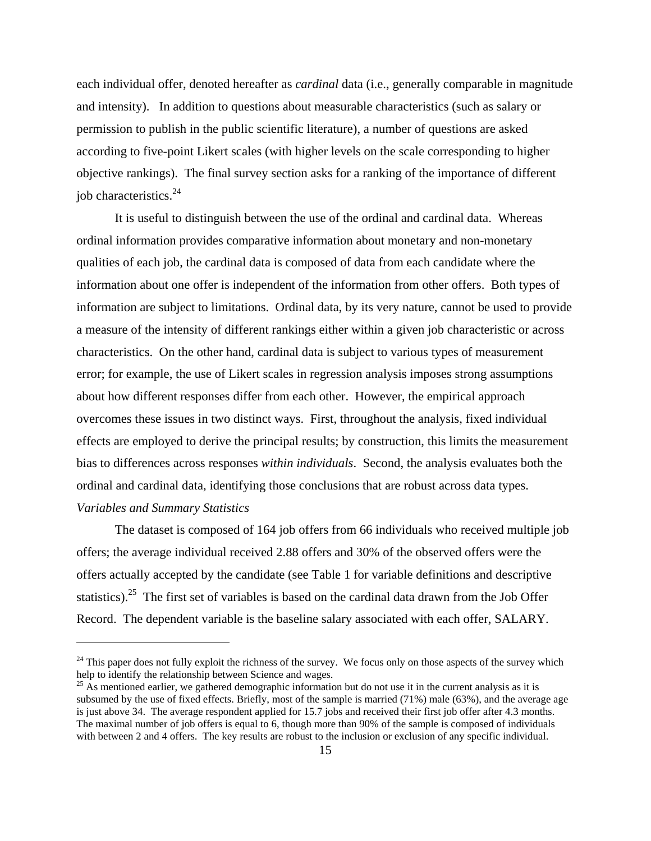each individual offer, denoted hereafter as *cardinal* data (i.e., generally comparable in magnitude and intensity). In addition to questions about measurable characteristics (such as salary or permission to publish in the public scientific literature), a number of questions are asked according to five-point Likert scales (with higher levels on the scale corresponding to higher objective rankings). The final survey section asks for a ranking of the importance of different job characteristics. $^{24}$  $^{24}$  $^{24}$ 

It is useful to distinguish between the use of the ordinal and cardinal data. Whereas ordinal information provides comparative information about monetary and non-monetary qualities of each job, the cardinal data is composed of data from each candidate where the information about one offer is independent of the information from other offers. Both types of information are subject to limitations. Ordinal data, by its very nature, cannot be used to provide a measure of the intensity of different rankings either within a given job characteristic or across characteristics. On the other hand, cardinal data is subject to various types of measurement error; for example, the use of Likert scales in regression analysis imposes strong assumptions about how different responses differ from each other. However, the empirical approach overcomes these issues in two distinct ways. First, throughout the analysis, fixed individual effects are employed to derive the principal results; by construction, this limits the measurement bias to differences across responses *within individuals*. Second, the analysis evaluates both the ordinal and cardinal data, identifying those conclusions that are robust across data types. *Variables and Summary Statistics* 

 The dataset is composed of 164 job offers from 66 individuals who received multiple job offers; the average individual received 2.88 offers and 30% of the observed offers were the offers actually accepted by the candidate (see Table 1 for variable definitions and descriptive statistics).<sup>25</sup> The first set of variables is based on the cardinal data drawn from the Job Offer Record. The dependent variable is the baseline salary associated with each offer, SALARY.

<span id="page-16-0"></span> $24$  This paper does not fully exploit the richness of the survey. We focus only on those aspects of the survey which help to identify the relationship between Science and wages.

<span id="page-16-1"></span> $^{25}$  As mentioned earlier, we gathered demographic information but do not use it in the current analysis as it is subsumed by the use of fixed effects. Briefly, most of the sample is married (71%) male (63%), and the average age is just above 34. The average respondent applied for 15.7 jobs and received their first job offer after 4.3 months. The maximal number of job offers is equal to 6, though more than 90% of the sample is composed of individuals with between 2 and 4 offers. The key results are robust to the inclusion or exclusion of any specific individual.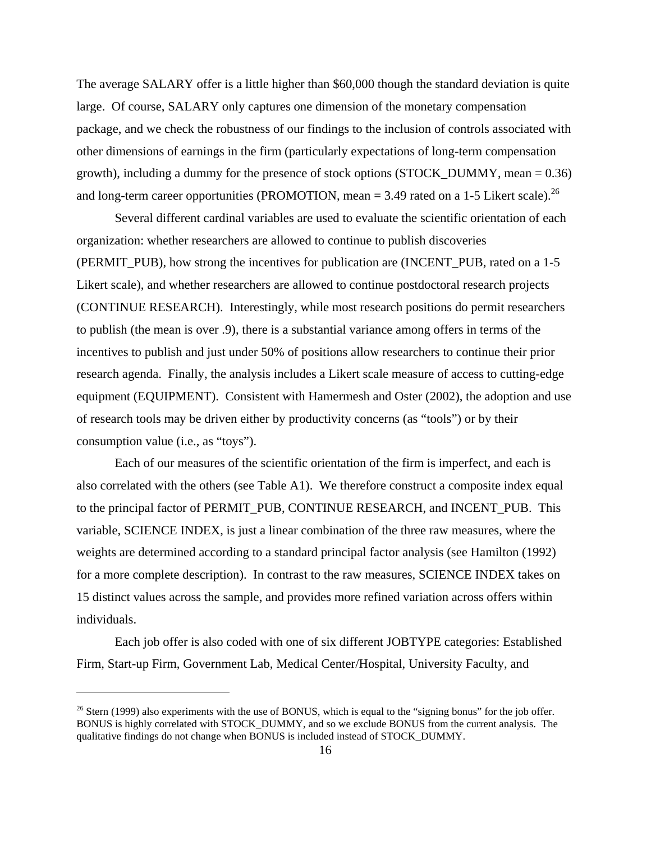The average SALARY offer is a little higher than \$60,000 though the standard deviation is quite large. Of course, SALARY only captures one dimension of the monetary compensation package, and we check the robustness of our findings to the inclusion of controls associated with other dimensions of earnings in the firm (particularly expectations of long-term compensation growth), including a dummy for the presence of stock options (STOCK\_DUMMY, mean = 0.36) and long-term career opportunities (PROMOTION, mean  $=$  3.49 rated on a 1-5 Likert scale).<sup>26</sup>

Several different cardinal variables are used to evaluate the scientific orientation of each organization: whether researchers are allowed to continue to publish discoveries (PERMIT\_PUB), how strong the incentives for publication are (INCENT\_PUB, rated on a 1-5 Likert scale), and whether researchers are allowed to continue postdoctoral research projects (CONTINUE RESEARCH). Interestingly, while most research positions do permit researchers to publish (the mean is over .9), there is a substantial variance among offers in terms of the incentives to publish and just under 50% of positions allow researchers to continue their prior research agenda. Finally, the analysis includes a Likert scale measure of access to cutting-edge equipment (EQUIPMENT). Consistent with Hamermesh and Oster (2002), the adoption and use of research tools may be driven either by productivity concerns (as "tools") or by their consumption value (i.e., as "toys").

Each of our measures of the scientific orientation of the firm is imperfect, and each is also correlated with the others (see Table A1). We therefore construct a composite index equal to the principal factor of PERMIT\_PUB, CONTINUE RESEARCH, and INCENT\_PUB. This variable, SCIENCE INDEX, is just a linear combination of the three raw measures, where the weights are determined according to a standard principal factor analysis (see Hamilton (1992) for a more complete description). In contrast to the raw measures, SCIENCE INDEX takes on 15 distinct values across the sample, and provides more refined variation across offers within individuals.

 Each job offer is also coded with one of six different JOBTYPE categories: Established Firm, Start-up Firm, Government Lab, Medical Center/Hospital, University Faculty, and

1

<span id="page-17-0"></span> $26$  Stern (1999) also experiments with the use of BONUS, which is equal to the "signing bonus" for the job offer. BONUS is highly correlated with STOCK\_DUMMY, and so we exclude BONUS from the current analysis. The qualitative findings do not change when BONUS is included instead of STOCK\_DUMMY.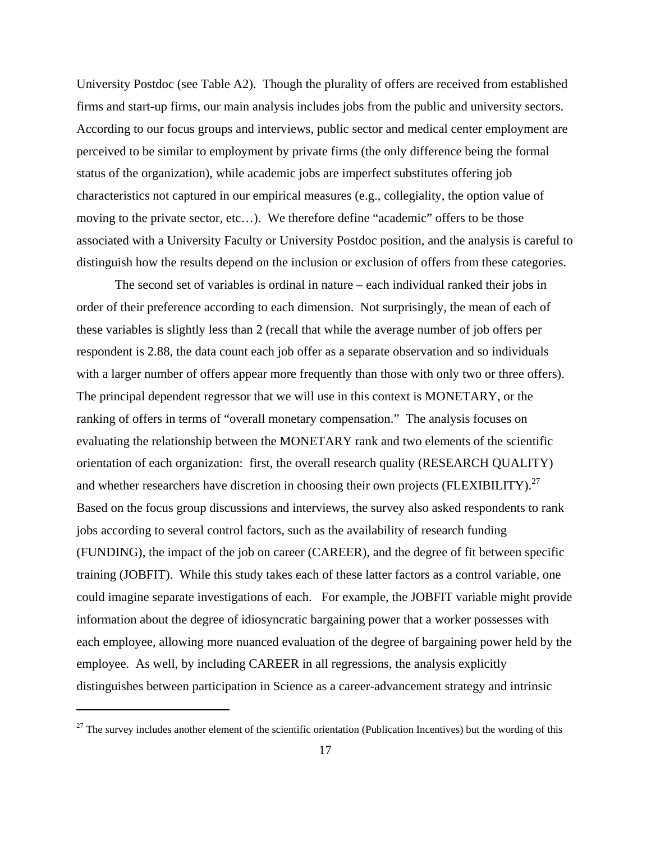University Postdoc (see Table A2). Though the plurality of offers are received from established firms and start-up firms, our main analysis includes jobs from the public and university sectors. According to our focus groups and interviews, public sector and medical center employment are perceived to be similar to employment by private firms (the only difference being the formal status of the organization), while academic jobs are imperfect substitutes offering job characteristics not captured in our empirical measures (e.g., collegiality, the option value of moving to the private sector, etc…). We therefore define "academic" offers to be those associated with a University Faculty or University Postdoc position, and the analysis is careful to distinguish how the results depend on the inclusion or exclusion of offers from these categories.

The second set of variables is ordinal in nature – each individual ranked their jobs in order of their preference according to each dimension. Not surprisingly, the mean of each of these variables is slightly less than 2 (recall that while the average number of job offers per respondent is 2.88, the data count each job offer as a separate observation and so individuals with a larger number of offers appear more frequently than those with only two or three offers). The principal dependent regressor that we will use in this context is MONETARY, or the ranking of offers in terms of "overall monetary compensation." The analysis focuses on evaluating the relationship between the MONETARY rank and two elements of the scientific orientation of each organization: first, the overall research quality (RESEARCH QUALITY) and whether researchers have discretion in choosing their own projects (FLEXIBILITY).<sup>27</sup> Based on the focus group discussions and interviews, the survey also asked respondents to rank jobs according to several control factors, such as the availability of research funding (FUNDING), the impact of the job on career (CAREER), and the degree of fit between specific training (JOBFIT). While this study takes each of these latter factors as a control variable, one could imagine separate investigations of each. For example, the JOBFIT variable might provide information about the degree of idiosyncratic bargaining power that a worker possesses with each employee, allowing more nuanced evaluation of the degree of bargaining power held by the employee. As well, by including CAREER in all regressions, the analysis explicitly distinguishes between participation in Science as a career-advancement strategy and intrinsic

1

<span id="page-18-0"></span> $27$  The survey includes another element of the scientific orientation (Publication Incentives) but the wording of this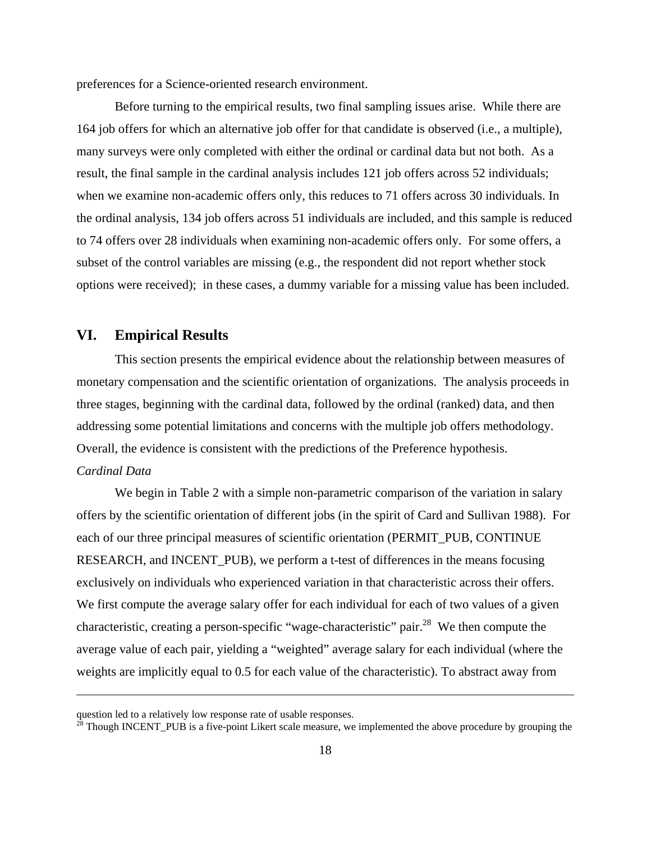preferences for a Science-oriented research environment.

 Before turning to the empirical results, two final sampling issues arise. While there are 164 job offers for which an alternative job offer for that candidate is observed (i.e., a multiple), many surveys were only completed with either the ordinal or cardinal data but not both. As a result, the final sample in the cardinal analysis includes 121 job offers across 52 individuals; when we examine non-academic offers only, this reduces to 71 offers across 30 individuals. In the ordinal analysis, 134 job offers across 51 individuals are included, and this sample is reduced to 74 offers over 28 individuals when examining non-academic offers only. For some offers, a subset of the control variables are missing (e.g., the respondent did not report whether stock options were received); in these cases, a dummy variable for a missing value has been included.

## **VI. Empirical Results**

This section presents the empirical evidence about the relationship between measures of monetary compensation and the scientific orientation of organizations. The analysis proceeds in three stages, beginning with the cardinal data, followed by the ordinal (ranked) data, and then addressing some potential limitations and concerns with the multiple job offers methodology. Overall, the evidence is consistent with the predictions of the Preference hypothesis. *Cardinal Data* 

We begin in Table 2 with a simple non-parametric comparison of the variation in salary offers by the scientific orientation of different jobs (in the spirit of Card and Sullivan 1988). For each of our three principal measures of scientific orientation (PERMIT\_PUB, CONTINUE RESEARCH, and INCENT\_PUB), we perform a t-test of differences in the means focusing exclusively on individuals who experienced variation in that characteristic across their offers. We first compute the average salary offer for each individual for each of two values of a given characteristic, creating a person-specific "wage-characteristic" pair.<sup>28</sup> We then compute the average value of each pair, yielding a "weighted" average salary for each individual (where the weights are implicitly equal to 0.5 for each value of the characteristic). To abstract away from

<span id="page-19-0"></span>

question led to a relatively low response rate of usable responses.<br><sup>28</sup> Though INCENT\_PUB is a five-point Likert scale measure, we implemented the above procedure by grouping the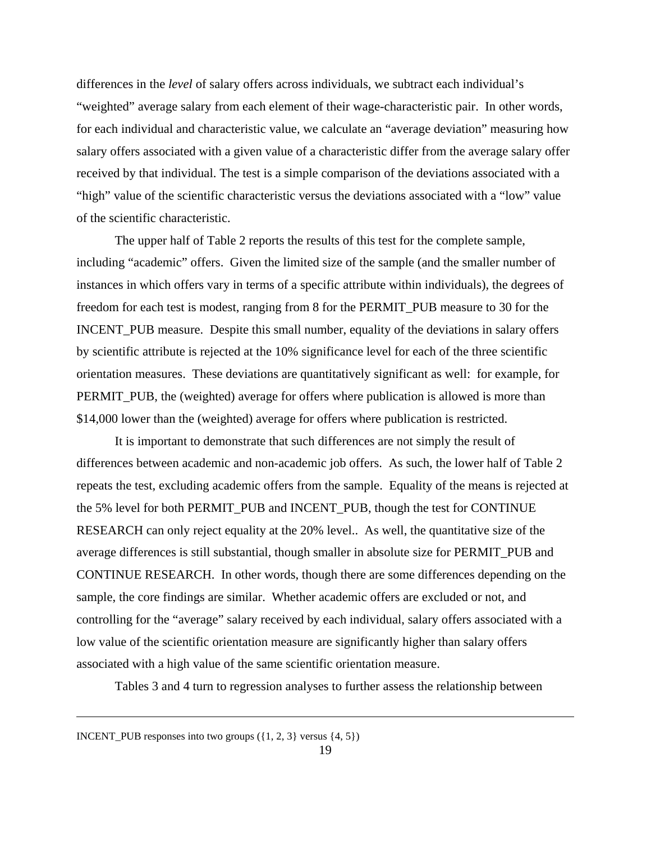differences in the *level* of salary offers across individuals, we subtract each individual's "weighted" average salary from each element of their wage-characteristic pair. In other words, for each individual and characteristic value, we calculate an "average deviation" measuring how salary offers associated with a given value of a characteristic differ from the average salary offer received by that individual. The test is a simple comparison of the deviations associated with a "high" value of the scientific characteristic versus the deviations associated with a "low" value of the scientific characteristic.

The upper half of Table 2 reports the results of this test for the complete sample, including "academic" offers. Given the limited size of the sample (and the smaller number of instances in which offers vary in terms of a specific attribute within individuals), the degrees of freedom for each test is modest, ranging from 8 for the PERMIT\_PUB measure to 30 for the INCENT\_PUB measure. Despite this small number, equality of the deviations in salary offers by scientific attribute is rejected at the 10% significance level for each of the three scientific orientation measures. These deviations are quantitatively significant as well: for example, for PERMIT\_PUB, the (weighted) average for offers where publication is allowed is more than \$14,000 lower than the (weighted) average for offers where publication is restricted.

It is important to demonstrate that such differences are not simply the result of differences between academic and non-academic job offers. As such, the lower half of Table 2 repeats the test, excluding academic offers from the sample. Equality of the means is rejected at the 5% level for both PERMIT\_PUB and INCENT\_PUB, though the test for CONTINUE RESEARCH can only reject equality at the 20% level.. As well, the quantitative size of the average differences is still substantial, though smaller in absolute size for PERMIT\_PUB and CONTINUE RESEARCH. In other words, though there are some differences depending on the sample, the core findings are similar. Whether academic offers are excluded or not, and controlling for the "average" salary received by each individual, salary offers associated with a low value of the scientific orientation measure are significantly higher than salary offers associated with a high value of the same scientific orientation measure.

Tables 3 and 4 turn to regression analyses to further assess the relationship between

INCENT\_PUB responses into two groups  $({1, 2, 3}$  versus  ${4, 5})$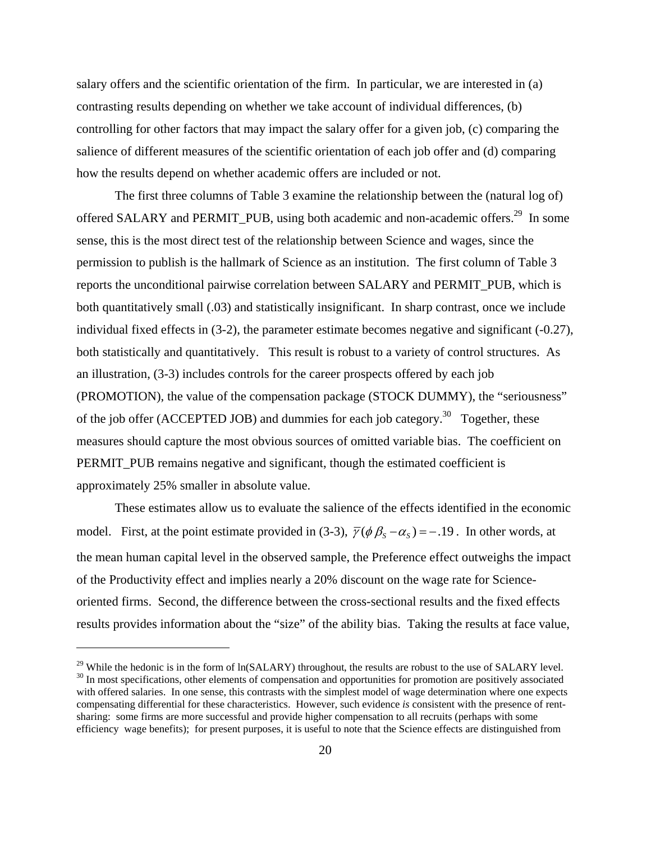salary offers and the scientific orientation of the firm. In particular, we are interested in (a) contrasting results depending on whether we take account of individual differences, (b) controlling for other factors that may impact the salary offer for a given job, (c) comparing the salience of different measures of the scientific orientation of each job offer and (d) comparing how the results depend on whether academic offers are included or not.

The first three columns of Table 3 examine the relationship between the (natural log of) offered SALARY and PERMIT PUB, using both academic and non-academic offers.<sup>29</sup> In some sense, this is the most direct test of the relationship between Science and wages, since the permission to publish is the hallmark of Science as an institution. The first column of Table 3 reports the unconditional pairwise correlation between SALARY and PERMIT\_PUB, which is both quantitatively small (.03) and statistically insignificant. In sharp contrast, once we include individual fixed effects in (3-2), the parameter estimate becomes negative and significant (-0.27), both statistically and quantitatively. This result is robust to a variety of control structures. As an illustration, (3-3) includes controls for the career prospects offered by each job (PROMOTION), the value of the compensation package (STOCK DUMMY), the "seriousness" of the job offer (ACCEPTED JOB) and dummies for each job category.<sup>30</sup> Together, these measures should capture the most obvious sources of omitted variable bias. The coefficient on PERMIT\_PUB remains negative and significant, though the estimated coefficient is approximately 25% smaller in absolute value.

These estimates allow us to evaluate the salience of the effects identified in the economic model. First, at the point estimate provided in (3-3),  $\overline{\gamma}(\phi \beta_s - \alpha_s) = -.19$ . In other words, at the mean human capital level in the observed sample, the Preference effect outweighs the impact of the Productivity effect and implies nearly a 20% discount on the wage rate for Scienceoriented firms. Second, the difference between the cross-sectional results and the fixed effects results provides information about the "size" of the ability bias. Taking the results at face value,

<span id="page-21-1"></span><span id="page-21-0"></span><sup>&</sup>lt;sup>29</sup> While the hedonic is in the form of  $ln(SALARY)$  throughout, the results are robust to the use of SALARY level.<br><sup>30</sup> In most specifications, other elements of compensation and opportunities for promotion are positively as with offered salaries. In one sense, this contrasts with the simplest model of wage determination where one expects compensating differential for these characteristics. However, such evidence *is* consistent with the presence of rentsharing: some firms are more successful and provide higher compensation to all recruits (perhaps with some efficiency wage benefits); for present purposes, it is useful to note that the Science effects are distinguished from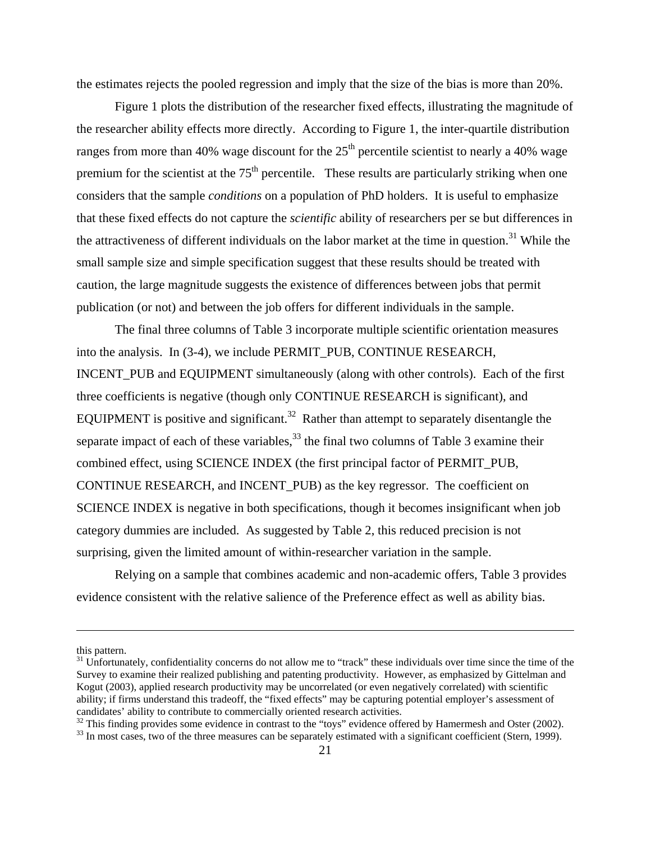the estimates rejects the pooled regression and imply that the size of the bias is more than 20%.

Figure 1 plots the distribution of the researcher fixed effects, illustrating the magnitude of the researcher ability effects more directly. According to Figure 1, the inter-quartile distribution ranges from more than 40% wage discount for the  $25<sup>th</sup>$  percentile scientist to nearly a 40% wage premium for the scientist at the  $75<sup>th</sup>$  percentile. These results are particularly striking when one considers that the sample *conditions* on a population of PhD holders. It is useful to emphasize that these fixed effects do not capture the *scientific* ability of researchers per se but differences in the attractiveness of different individuals on the labor market at the time in question.<sup>31</sup> While the small sample size and simple specification suggest that these results should be treated with caution, the large magnitude suggests the existence of differences between jobs that permit publication (or not) and between the job offers for different individuals in the sample.

The final three columns of Table 3 incorporate multiple scientific orientation measures into the analysis. In (3-4), we include PERMIT\_PUB, CONTINUE RESEARCH, INCENT\_PUB and EQUIPMENT simultaneously (along with other controls). Each of the first three coefficients is negative (though only CONTINUE RESEARCH is significant), and EQUIPMENT is positive and significant.<sup>32</sup> Rather than attempt to separately disentangle the separate impact of each of these variables,  $33$  the final two columns of Table 3 examine their combined effect, using SCIENCE INDEX (the first principal factor of PERMIT\_PUB, CONTINUE RESEARCH, and INCENT\_PUB) as the key regressor. The coefficient on SCIENCE INDEX is negative in both specifications, though it becomes insignificant when job category dummies are included. As suggested by Table 2, this reduced precision is not surprising, given the limited amount of within-researcher variation in the sample.

Relying on a sample that combines academic and non-academic offers, Table 3 provides evidence consistent with the relative salience of the Preference effect as well as ability bias.

1

<span id="page-22-1"></span> $32$  This finding provides some evidence in contrast to the "toys" evidence offered by Hamermesh and Oster (2002).

this pattern.

<span id="page-22-0"></span> $31$  Unfortunately, confidentiality concerns do not allow me to "track" these individuals over time since the time of the Survey to examine their realized publishing and patenting productivity. However, as emphasized by Gittelman and Kogut (2003), applied research productivity may be uncorrelated (or even negatively correlated) with scientific ability; if firms understand this tradeoff, the "fixed effects" may be capturing potential employer's assessment of candidates' ability to contribute to commercially oriented research activities.

<span id="page-22-2"></span><sup>&</sup>lt;sup>33</sup> In most cases, two of the three measures can be separately estimated with a significant coefficient (Stern, 1999).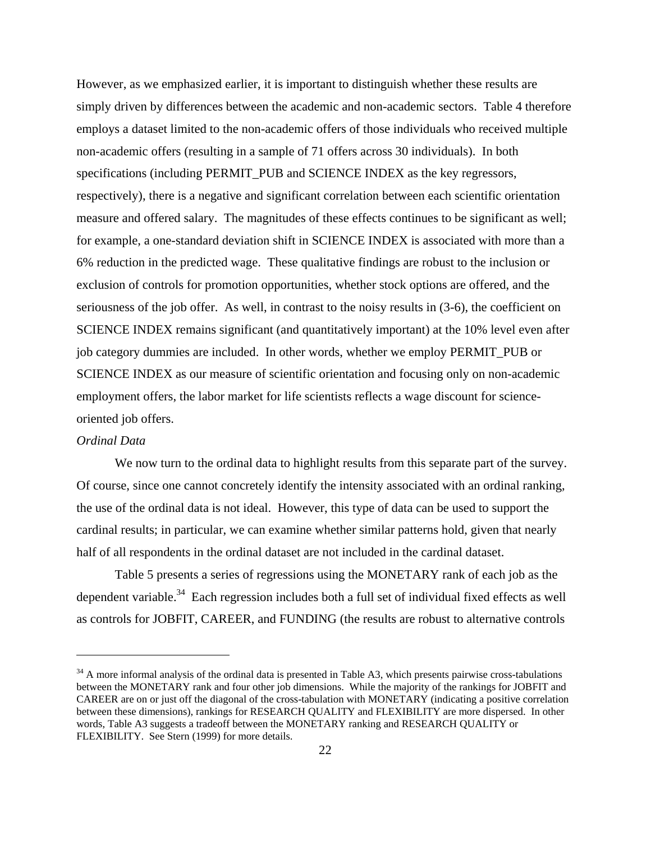However, as we emphasized earlier, it is important to distinguish whether these results are simply driven by differences between the academic and non-academic sectors. Table 4 therefore employs a dataset limited to the non-academic offers of those individuals who received multiple non-academic offers (resulting in a sample of 71 offers across 30 individuals). In both specifications (including PERMIT\_PUB and SCIENCE INDEX as the key regressors, respectively), there is a negative and significant correlation between each scientific orientation measure and offered salary. The magnitudes of these effects continues to be significant as well; for example, a one-standard deviation shift in SCIENCE INDEX is associated with more than a 6% reduction in the predicted wage. These qualitative findings are robust to the inclusion or exclusion of controls for promotion opportunities, whether stock options are offered, and the seriousness of the job offer. As well, in contrast to the noisy results in (3-6), the coefficient on SCIENCE INDEX remains significant (and quantitatively important) at the 10% level even after job category dummies are included. In other words, whether we employ PERMIT\_PUB or SCIENCE INDEX as our measure of scientific orientation and focusing only on non-academic employment offers, the labor market for life scientists reflects a wage discount for scienceoriented job offers.

### *Ordinal Data*

 $\overline{a}$ 

We now turn to the ordinal data to highlight results from this separate part of the survey. Of course, since one cannot concretely identify the intensity associated with an ordinal ranking, the use of the ordinal data is not ideal. However, this type of data can be used to support the cardinal results; in particular, we can examine whether similar patterns hold, given that nearly half of all respondents in the ordinal dataset are not included in the cardinal dataset.

Table 5 presents a series of regressions using the MONETARY rank of each job as the dependent variable.<sup>34</sup> Each regression includes both a full set of individual fixed effects as well as controls for JOBFIT, CAREER, and FUNDING (the results are robust to alternative controls

<span id="page-23-0"></span><sup>&</sup>lt;sup>34</sup> A more informal analysis of the ordinal data is presented in Table A3, which presents pairwise cross-tabulations between the MONETARY rank and four other job dimensions. While the majority of the rankings for JOBFIT and CAREER are on or just off the diagonal of the cross-tabulation with MONETARY (indicating a positive correlation between these dimensions), rankings for RESEARCH QUALITY and FLEXIBILITY are more dispersed. In other words, Table A3 suggests a tradeoff between the MONETARY ranking and RESEARCH QUALITY or FLEXIBILITY. See Stern (1999) for more details.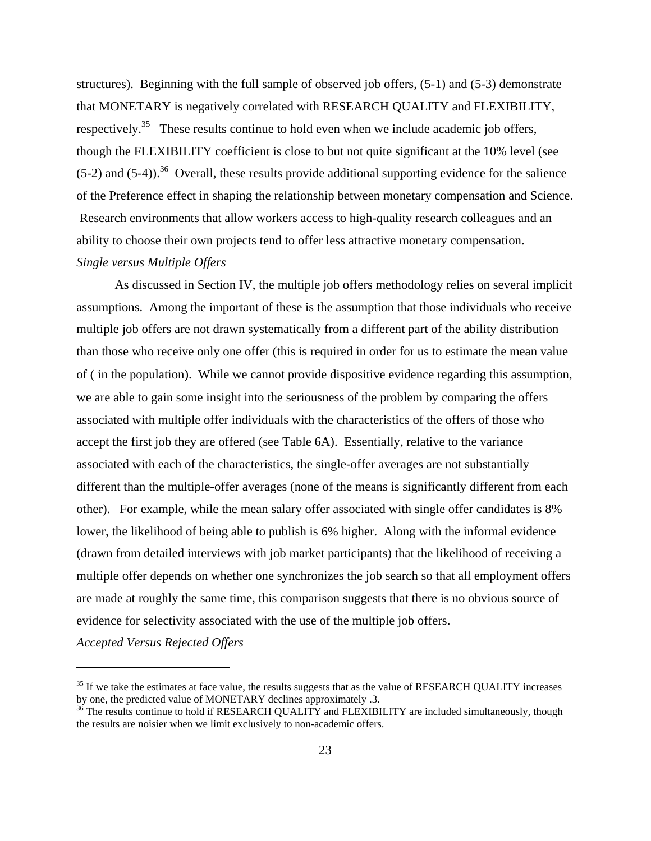structures). Beginning with the full sample of observed job offers, (5-1) and (5-3) demonstrate that MONETARY is negatively correlated with RESEARCH QUALITY and FLEXIBILITY, respectively.<sup>35</sup> These results continue to hold even when we include academic job offers, though the FLEXIBILITY coefficient is close to but not quite significant at the 10% level (see  $(5-2)$  and  $(5-4)$ ).<sup>36</sup> Overall, these results provide additional supporting evidence for the salience of the Preference effect in shaping the relationship between monetary compensation and Science. Research environments that allow workers access to high-quality research colleagues and an ability to choose their own projects tend to offer less attractive monetary compensation. *Single versus Multiple Offers* 

As discussed in Section IV, the multiple job offers methodology relies on several implicit assumptions. Among the important of these is the assumption that those individuals who receive multiple job offers are not drawn systematically from a different part of the ability distribution than those who receive only one offer (this is required in order for us to estimate the mean value of ( in the population). While we cannot provide dispositive evidence regarding this assumption, we are able to gain some insight into the seriousness of the problem by comparing the offers associated with multiple offer individuals with the characteristics of the offers of those who accept the first job they are offered (see Table 6A). Essentially, relative to the variance associated with each of the characteristics, the single-offer averages are not substantially different than the multiple-offer averages (none of the means is significantly different from each other). For example, while the mean salary offer associated with single offer candidates is 8% lower, the likelihood of being able to publish is 6% higher. Along with the informal evidence (drawn from detailed interviews with job market participants) that the likelihood of receiving a multiple offer depends on whether one synchronizes the job search so that all employment offers are made at roughly the same time, this comparison suggests that there is no obvious source of evidence for selectivity associated with the use of the multiple job offers.

*Accepted Versus Rejected Offers*

<span id="page-24-0"></span><sup>&</sup>lt;sup>35</sup> If we take the estimates at face value, the results suggests that as the value of RESEARCH QUALITY increases by one, the predicted value of MONETARY declines approximately .3.

<span id="page-24-1"></span><sup>&</sup>lt;sup>36</sup> The results continue to hold if RESEARCH QUALITY and FLEXIBILITY are included simultaneously, though the results are noisier when we limit exclusively to non-academic offers.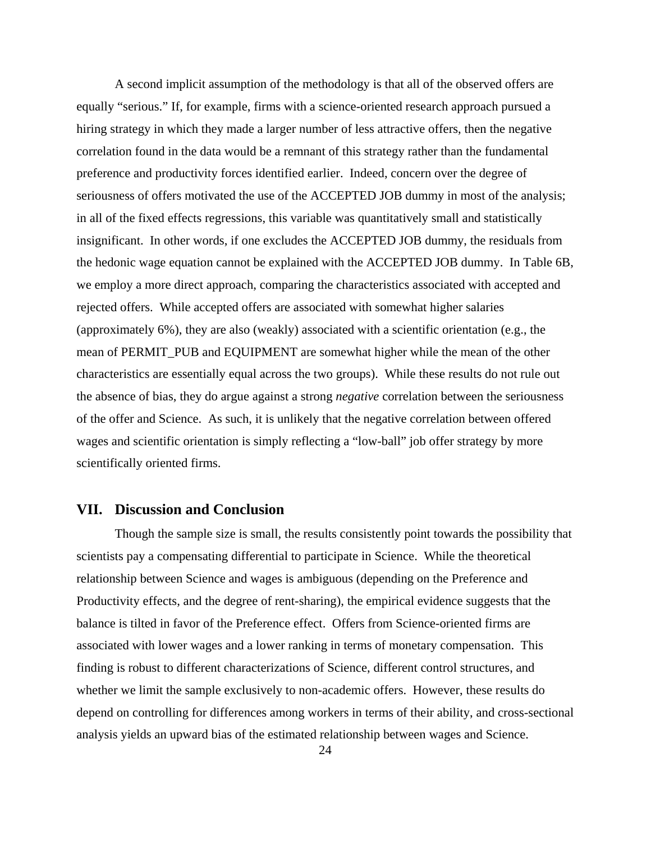A second implicit assumption of the methodology is that all of the observed offers are equally "serious." If, for example, firms with a science-oriented research approach pursued a hiring strategy in which they made a larger number of less attractive offers, then the negative correlation found in the data would be a remnant of this strategy rather than the fundamental preference and productivity forces identified earlier. Indeed, concern over the degree of seriousness of offers motivated the use of the ACCEPTED JOB dummy in most of the analysis; in all of the fixed effects regressions, this variable was quantitatively small and statistically insignificant. In other words, if one excludes the ACCEPTED JOB dummy, the residuals from the hedonic wage equation cannot be explained with the ACCEPTED JOB dummy. In Table 6B, we employ a more direct approach, comparing the characteristics associated with accepted and rejected offers. While accepted offers are associated with somewhat higher salaries (approximately 6%), they are also (weakly) associated with a scientific orientation (e.g., the mean of PERMIT\_PUB and EQUIPMENT are somewhat higher while the mean of the other characteristics are essentially equal across the two groups). While these results do not rule out the absence of bias, they do argue against a strong *negative* correlation between the seriousness of the offer and Science. As such, it is unlikely that the negative correlation between offered wages and scientific orientation is simply reflecting a "low-ball" job offer strategy by more scientifically oriented firms.

## **VII. Discussion and Conclusion**

Though the sample size is small, the results consistently point towards the possibility that scientists pay a compensating differential to participate in Science. While the theoretical relationship between Science and wages is ambiguous (depending on the Preference and Productivity effects, and the degree of rent-sharing), the empirical evidence suggests that the balance is tilted in favor of the Preference effect. Offers from Science-oriented firms are associated with lower wages and a lower ranking in terms of monetary compensation. This finding is robust to different characterizations of Science, different control structures, and whether we limit the sample exclusively to non-academic offers. However, these results do depend on controlling for differences among workers in terms of their ability, and cross-sectional analysis yields an upward bias of the estimated relationship between wages and Science.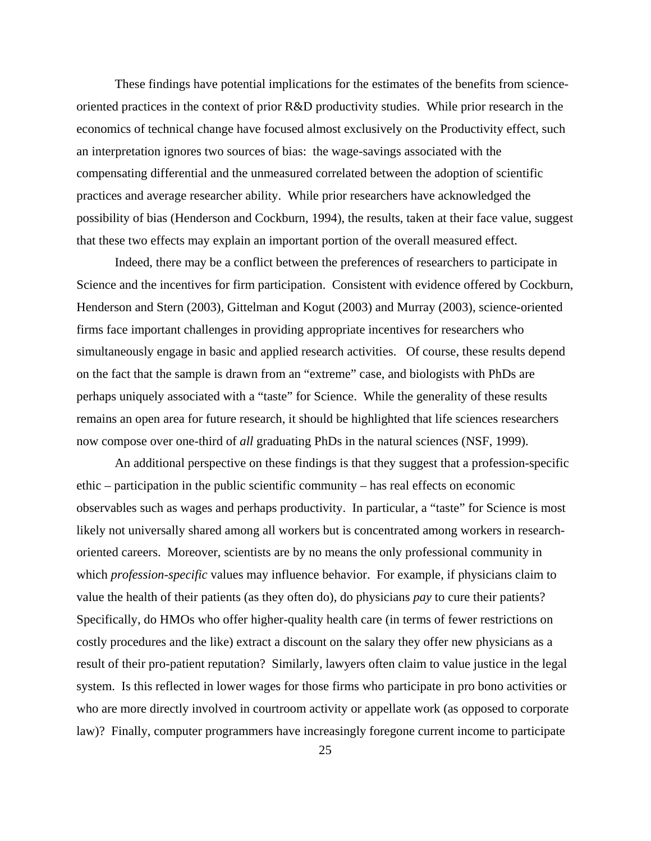These findings have potential implications for the estimates of the benefits from scienceoriented practices in the context of prior R&D productivity studies. While prior research in the economics of technical change have focused almost exclusively on the Productivity effect, such an interpretation ignores two sources of bias: the wage-savings associated with the compensating differential and the unmeasured correlated between the adoption of scientific practices and average researcher ability. While prior researchers have acknowledged the possibility of bias (Henderson and Cockburn, 1994), the results, taken at their face value, suggest that these two effects may explain an important portion of the overall measured effect.

Indeed, there may be a conflict between the preferences of researchers to participate in Science and the incentives for firm participation. Consistent with evidence offered by Cockburn, Henderson and Stern (2003), Gittelman and Kogut (2003) and Murray (2003), science-oriented firms face important challenges in providing appropriate incentives for researchers who simultaneously engage in basic and applied research activities. Of course, these results depend on the fact that the sample is drawn from an "extreme" case, and biologists with PhDs are perhaps uniquely associated with a "taste" for Science. While the generality of these results remains an open area for future research, it should be highlighted that life sciences researchers now compose over one-third of *all* graduating PhDs in the natural sciences (NSF, 1999).

An additional perspective on these findings is that they suggest that a profession-specific ethic – participation in the public scientific community – has real effects on economic observables such as wages and perhaps productivity. In particular, a "taste" for Science is most likely not universally shared among all workers but is concentrated among workers in researchoriented careers. Moreover, scientists are by no means the only professional community in which *profession-specific* values may influence behavior. For example, if physicians claim to value the health of their patients (as they often do), do physicians *pay* to cure their patients? Specifically, do HMOs who offer higher-quality health care (in terms of fewer restrictions on costly procedures and the like) extract a discount on the salary they offer new physicians as a result of their pro-patient reputation? Similarly, lawyers often claim to value justice in the legal system. Is this reflected in lower wages for those firms who participate in pro bono activities or who are more directly involved in courtroom activity or appellate work (as opposed to corporate law)? Finally, computer programmers have increasingly foregone current income to participate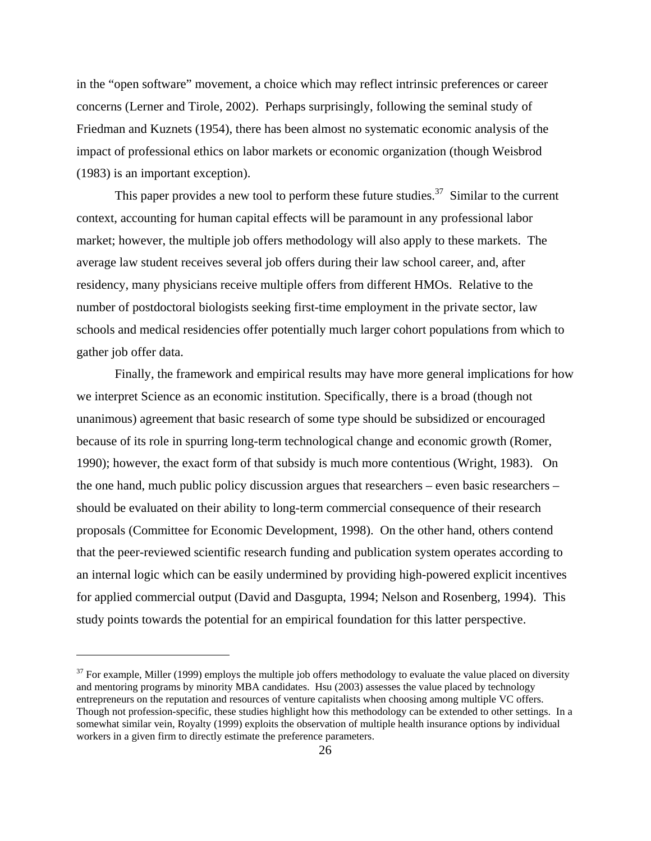in the "open software" movement, a choice which may reflect intrinsic preferences or career concerns (Lerner and Tirole, 2002). Perhaps surprisingly, following the seminal study of Friedman and Kuznets (1954), there has been almost no systematic economic analysis of the impact of professional ethics on labor markets or economic organization (though Weisbrod (1983) is an important exception).

This paper provides a new tool to perform these future studies.<sup>37</sup> Similar to the current context, accounting for human capital effects will be paramount in any professional labor market; however, the multiple job offers methodology will also apply to these markets. The average law student receives several job offers during their law school career, and, after residency, many physicians receive multiple offers from different HMOs. Relative to the number of postdoctoral biologists seeking first-time employment in the private sector, law schools and medical residencies offer potentially much larger cohort populations from which to gather job offer data.

Finally, the framework and empirical results may have more general implications for how we interpret Science as an economic institution. Specifically, there is a broad (though not unanimous) agreement that basic research of some type should be subsidized or encouraged because of its role in spurring long-term technological change and economic growth (Romer, 1990); however, the exact form of that subsidy is much more contentious (Wright, 1983). On the one hand, much public policy discussion argues that researchers – even basic researchers – should be evaluated on their ability to long-term commercial consequence of their research proposals (Committee for Economic Development, 1998). On the other hand, others contend that the peer-reviewed scientific research funding and publication system operates according to an internal logic which can be easily undermined by providing high-powered explicit incentives for applied commercial output (David and Dasgupta, 1994; Nelson and Rosenberg, 1994). This study points towards the potential for an empirical foundation for this latter perspective.

<u>.</u>

<span id="page-27-0"></span> $37$  For example, Miller (1999) employs the multiple job offers methodology to evaluate the value placed on diversity and mentoring programs by minority MBA candidates. Hsu (2003) assesses the value placed by technology entrepreneurs on the reputation and resources of venture capitalists when choosing among multiple VC offers. Though not profession-specific, these studies highlight how this methodology can be extended to other settings. In a somewhat similar vein, Royalty (1999) exploits the observation of multiple health insurance options by individual workers in a given firm to directly estimate the preference parameters.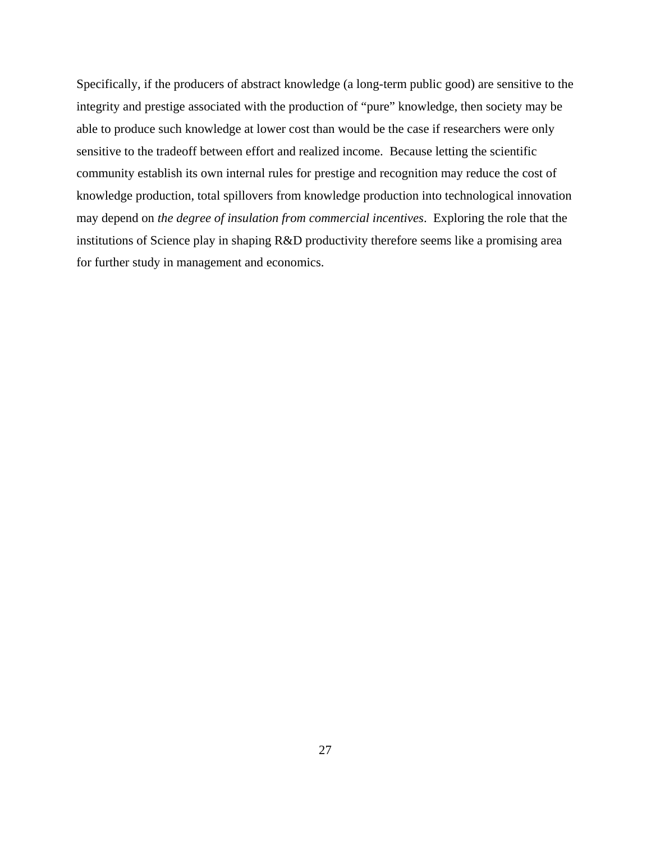Specifically, if the producers of abstract knowledge (a long-term public good) are sensitive to the integrity and prestige associated with the production of "pure" knowledge, then society may be able to produce such knowledge at lower cost than would be the case if researchers were only sensitive to the tradeoff between effort and realized income. Because letting the scientific community establish its own internal rules for prestige and recognition may reduce the cost of knowledge production, total spillovers from knowledge production into technological innovation may depend on *the degree of insulation from commercial incentives*. Exploring the role that the institutions of Science play in shaping R&D productivity therefore seems like a promising area for further study in management and economics.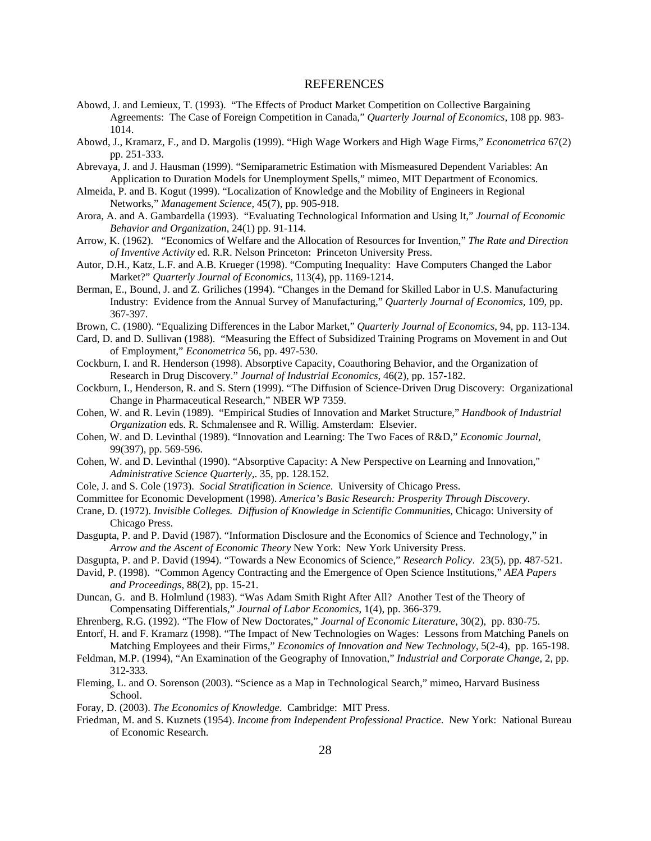#### REFERENCES

- Abowd, J. and Lemieux, T. (1993). "The Effects of Product Market Competition on Collective Bargaining Agreements: The Case of Foreign Competition in Canada," *Quarterly Journal of Economics,* 108 pp. 983- 1014.
- Abowd, J., Kramarz, F., and D. Margolis (1999). "High Wage Workers and High Wage Firms," *Econometrica* 67(2) pp. 251-333.
- Abrevaya, J. and J. Hausman (1999). "Semiparametric Estimation with Mismeasured Dependent Variables: An Application to Duration Models for Unemployment Spells," mimeo, MIT Department of Economics.
- Almeida, P. and B. Kogut (1999). "Localization of Knowledge and the Mobility of Engineers in Regional Networks," *Management Science,* 45(7), pp. 905-918.
- Arora, A. and A. Gambardella (1993). "Evaluating Technological Information and Using It," *Journal of Economic Behavior and Organization*, 24(1) pp. 91-114.
- Arrow, K. (1962). "Economics of Welfare and the Allocation of Resources for Invention," *The Rate and Direction of Inventive Activity* ed. R.R. Nelson Princeton: Princeton University Press.
- Autor, D.H., Katz, L.F. and A.B. Krueger (1998). "Computing Inequality: Have Computers Changed the Labor Market?" *Quarterly Journal of Economics,* 113(4), pp. 1169-1214.
- Berman, E., Bound, J. and Z. Griliches (1994). "Changes in the Demand for Skilled Labor in U.S. Manufacturing Industry: Evidence from the Annual Survey of Manufacturing," *Quarterly Journal of Economics,* 109, pp. 367-397.
- Brown, C. (1980). "Equalizing Differences in the Labor Market," *Quarterly Journal of Economics*, 94, pp. 113-134.
- Card, D. and D. Sullivan (1988). "Measuring the Effect of Subsidized Training Programs on Movement in and Out of Employment," *Econometrica* 56, pp. 497-530.
- Cockburn, I. and R. Henderson (1998). Absorptive Capacity, Coauthoring Behavior, and the Organization of Research in Drug Discovery." *Journal of Industrial Economics*, 46(2), pp. 157-182.
- Cockburn, I., Henderson, R. and S. Stern (1999). "The Diffusion of Science-Driven Drug Discovery: Organizational Change in Pharmaceutical Research," NBER WP 7359.
- Cohen, W. and R. Levin (1989). "Empirical Studies of Innovation and Market Structure," *Handbook of Industrial Organization* eds. R. Schmalensee and R. Willig. Amsterdam: Elsevier.
- Cohen, W. and D. Levinthal (1989). "Innovation and Learning: The Two Faces of R&D," *Economic Journal*, 99(397), pp. 569-596.
- Cohen, W. and D. Levinthal (1990). "Absorptive Capacity: A New Perspective on Learning and Innovation," *Administrative Science Quarterly*,. 35, pp. 128.152.
- Cole, J. and S. Cole (1973). *Social Stratification in Science*. University of Chicago Press.
- Committee for Economic Development (1998). *America's Basic Research: Prosperity Through Discovery*.
- Crane, D. (1972). *Invisible Colleges. Diffusion of Knowledge in Scientific Communities*, Chicago: University of Chicago Press.
- Dasgupta, P. and P. David (1987). "Information Disclosure and the Economics of Science and Technology," in *Arrow and the Ascent of Economic Theory* New York: New York University Press.
- Dasgupta, P. and P. David (1994). "Towards a New Economics of Science," *Research Policy*. 23(5), pp. 487-521.
- David, P. (1998). "Common Agency Contracting and the Emergence of Open Science Institutions," *AEA Papers and Proceedings*, 88(2), pp. 15-21.
- Duncan, G. and B. Holmlund (1983). "Was Adam Smith Right After All? Another Test of the Theory of Compensating Differentials," *Journal of Labor Economics*, 1(4), pp. 366-379.
- Ehrenberg, R.G. (1992). "The Flow of New Doctorates," *Journal of Economic Literature,* 30(2), pp. 830-75.
- Entorf, H. and F. Kramarz (1998). "The Impact of New Technologies on Wages: Lessons from Matching Panels on Matching Employees and their Firms," *Economics of Innovation and New Technology,* 5(2-4), pp. 165-198.
- Feldman, M.P. (1994), "An Examination of the Geography of Innovation," *Industrial and Corporate Change*, 2, pp. 312-333.
- Fleming, L. and O. Sorenson (2003). "Science as a Map in Technological Search," mimeo, Harvard Business School.
- Foray, D. (2003). *The Economics of Knowledge*. Cambridge: MIT Press.
- Friedman, M. and S. Kuznets (1954). *Income from Independent Professional Practice*. New York: National Bureau of Economic Research.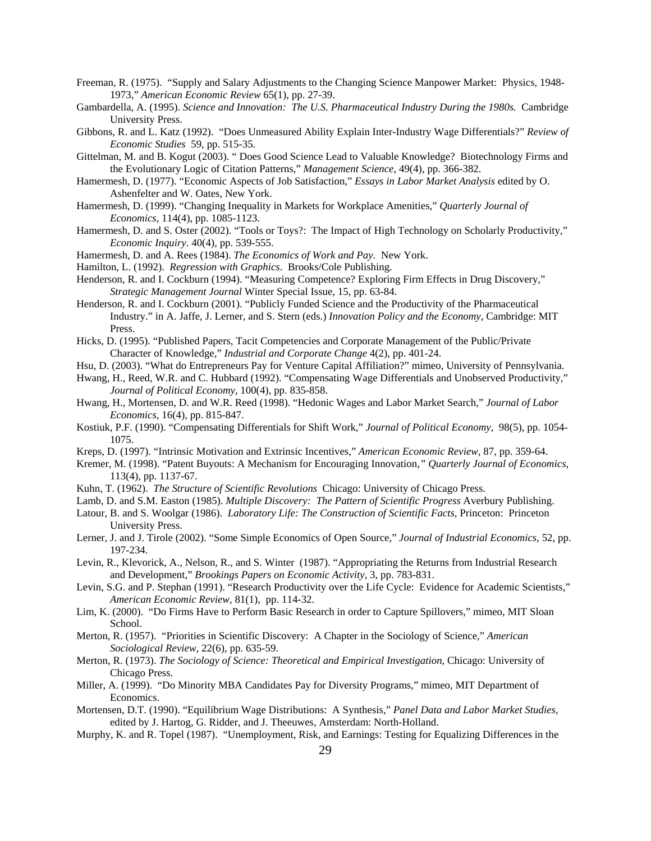- Freeman, R. (1975). "Supply and Salary Adjustments to the Changing Science Manpower Market: Physics, 1948- 1973," *American Economic Review* 65(1), pp. 27-39.
- Gambardella, A. (1995). *Science and Innovation: The U.S. Pharmaceutical Industry During the 1980s.* Cambridge University Press.
- Gibbons, R. and L. Katz (1992). "Does Unmeasured Ability Explain Inter-Industry Wage Differentials?" *Review of Economic Studies* 59, pp. 515-35.
- Gittelman, M. and B. Kogut (2003). " Does Good Science Lead to Valuable Knowledge? Biotechnology Firms and the Evolutionary Logic of Citation Patterns," *Management Science*, 49(4), pp. 366-382.
- Hamermesh, D. (1977). "Economic Aspects of Job Satisfaction," *Essays in Labor Market Analysis* edited by O. Ashenfelter and W. Oates, New York.
- Hamermesh, D. (1999). "Changing Inequality in Markets for Workplace Amenities," *Quarterly Journal of Economics*, 114(4), pp. 1085-1123.
- Hamermesh, D. and S. Oster (2002). "Tools or Toys?: The Impact of High Technology on Scholarly Productivity," *Economic Inquiry*. 40(4), pp. 539-555.
- Hamermesh, D. and A. Rees (1984). *The Economics of Work and Pay*. New York.
- Hamilton, L. (1992). *Regression with Graphics*. Brooks/Cole Publishing.
- Henderson, R. and I. Cockburn (1994). "Measuring Competence? Exploring Firm Effects in Drug Discovery," *Strategic Management Journal* Winter Special Issue, 15, pp. 63-84.
- Henderson, R. and I. Cockburn (2001). "Publicly Funded Science and the Productivity of the Pharmaceutical Industry." in A. Jaffe, J. Lerner, and S. Stern (eds.) *Innovation Policy and the Economy*, Cambridge: MIT Press.
- Hicks, D. (1995). "Published Papers, Tacit Competencies and Corporate Management of the Public/Private Character of Knowledge," *Industrial and Corporate Change* 4(2), pp. 401-24.
- Hsu, D. (2003). "What do Entrepreneurs Pay for Venture Capital Affiliation?" mimeo, University of Pennsylvania.
- Hwang, H., Reed, W.R. and C. Hubbard (1992). "Compensating Wage Differentials and Unobserved Productivity," *Journal of Political Economy,* 100(4), pp. 835-858.
- Hwang, H., Mortensen, D. and W.R. Reed (1998). "Hedonic Wages and Labor Market Search," *Journal of Labor Economics,* 16(4), pp. 815-847.
- Kostiuk, P.F. (1990). "Compensating Differentials for Shift Work," *Journal of Political Economy,* 98(5), pp. 1054- 1075.
- Kreps, D. (1997). "Intrinsic Motivation and Extrinsic Incentives," *American Economic Review,* 87, pp. 359-64.
- Kremer, M. (1998). "Patent Buyouts: A Mechanism for Encouraging Innovation*," Quarterly Journal of Economics,* 113(4), pp. 1137-67.
- Kuhn, T. (1962). *The Structure of Scientific Revolutions* Chicago: University of Chicago Press.
- Lamb, D. and S.M. Easton (1985). *Multiple Discovery: The Pattern of Scientific Progress* Averbury Publishing.
- Latour, B. and S. Woolgar (1986). *Laboratory Life: The Construction of Scientific Facts,* Princeton: Princeton University Press.
- Lerner, J. and J. Tirole (2002). "Some Simple Economics of Open Source," *Journal of Industrial Economics*, 52, pp. 197-234.
- Levin, R., Klevorick, A., Nelson, R., and S. Winter (1987). "Appropriating the Returns from Industrial Research and Development," *Brookings Papers on Economic Activity,* 3, pp. 783-831.
- Levin, S.G. and P. Stephan (1991). "Research Productivity over the Life Cycle: Evidence for Academic Scientists," *American Economic Review,* 81(1), pp. 114-32.
- Lim, K. (2000). "Do Firms Have to Perform Basic Research in order to Capture Spillovers," mimeo, MIT Sloan School.
- Merton, R. (1957). "Priorities in Scientific Discovery: A Chapter in the Sociology of Science," *American Sociological Review,* 22(6), pp. 635-59.
- Merton, R. (1973). *The Sociology of Science: Theoretical and Empirical Investigation*, Chicago: University of Chicago Press.
- Miller, A. (1999). "Do Minority MBA Candidates Pay for Diversity Programs," mimeo, MIT Department of Economics.
- Mortensen, D.T. (1990). "Equilibrium Wage Distributions: A Synthesis," *Panel Data and Labor Market Studies,* edited by J. Hartog, G. Ridder, and J. Theeuwes, Amsterdam: North-Holland.
- Murphy, K. and R. Topel (1987). "Unemployment, Risk, and Earnings: Testing for Equalizing Differences in the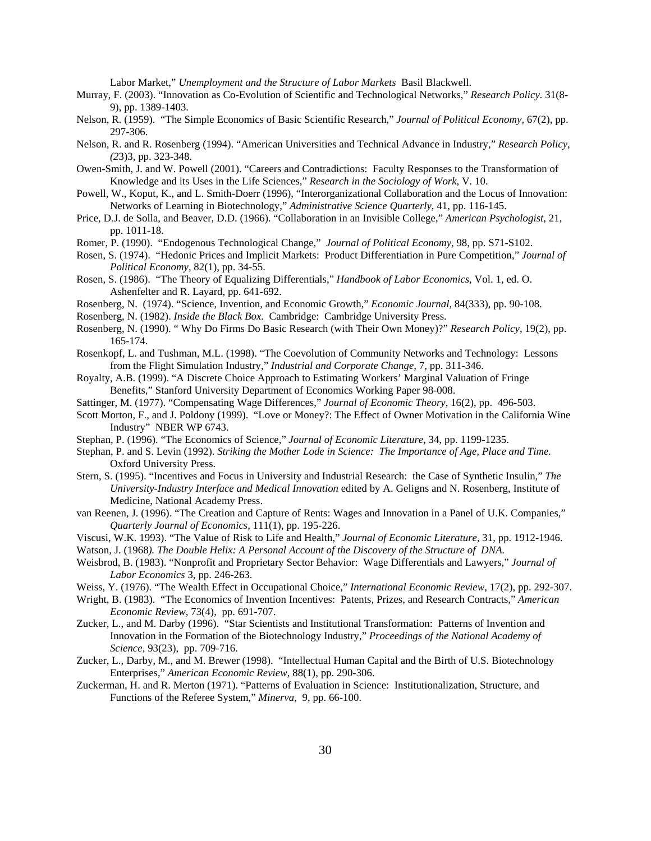Labor Market," *Unemployment and the Structure of Labor Markets* Basil Blackwell.

Murray, F. (2003). "Innovation as Co-Evolution of Scientific and Technological Networks," *Research Policy.* 31(8- 9), pp. 1389-1403.

- Nelson, R. (1959). "The Simple Economics of Basic Scientific Research," *Journal of Political Economy,* 67(2), pp. 297-306.
- Nelson, R. and R. Rosenberg (1994). "American Universities and Technical Advance in Industry," *Research Policy, (2*3)3, pp. 323-348.
- Owen-Smith, J. and W. Powell (2001). "Careers and Contradictions: Faculty Responses to the Transformation of Knowledge and its Uses in the Life Sciences," *Research in the Sociology of Work*, V. 10.
- Powell, W., Koput, K., and L. Smith-Doerr (1996), "Interorganizational Collaboration and the Locus of Innovation: Networks of Learning in Biotechnology," *Administrative Science Quarterly*, 41, pp. 116-145.
- Price, D.J. de Solla, and Beaver, D.D. (1966). "Collaboration in an Invisible College," *American Psychologist,* 21, pp. 1011-18.
- Romer, P. (1990). "Endogenous Technological Change," *Journal of Political Economy,* 98, pp. S71-S102.
- Rosen, S. (1974). "Hedonic Prices and Implicit Markets: Product Differentiation in Pure Competition," *Journal of Political Economy,* 82(1), pp. 34-55.
- Rosen, S. (1986). "The Theory of Equalizing Differentials," *Handbook of Labor Economics*, Vol. 1, ed. O. Ashenfelter and R. Layard, pp. 641-692.
- Rosenberg, N. (1974). "Science, Invention, and Economic Growth," *Economic Journal,* 84(333), pp. 90-108.
- Rosenberg, N. (1982). *Inside the Black Box*. Cambridge: Cambridge University Press.
- Rosenberg, N. (1990). " Why Do Firms Do Basic Research (with Their Own Money)?" *Research Policy,* 19(2), pp. 165-174.
- Rosenkopf, L. and Tushman, M.L. (1998). "The Coevolution of Community Networks and Technology: Lessons from the Flight Simulation Industry," *Industrial and Corporate Change,* 7, pp. 311-346.
- Royalty, A.B. (1999). "A Discrete Choice Approach to Estimating Workers' Marginal Valuation of Fringe Benefits," Stanford University Department of Economics Working Paper 98-008.
- Sattinger, M. (1977). "Compensating Wage Differences," *Journal of Economic Theory,* 16(2), pp. 496-503.
- Scott Morton, F., and J. Poldony (1999). "Love or Money?: The Effect of Owner Motivation in the California Wine Industry" NBER WP 6743.
- Stephan, P. (1996). "The Economics of Science," *Journal of Economic Literature,* 34, pp. 1199-1235.
- Stephan, P. and S. Levin (1992). *Striking the Mother Lode in Science: The Importance of Age, Place and Time*. Oxford University Press.
- Stern, S. (1995). "Incentives and Focus in University and Industrial Research: the Case of Synthetic Insulin," *The University-Industry Interface and Medical Innovation* edited by A. Geligns and N. Rosenberg, Institute of Medicine, National Academy Press.
- van Reenen, J. (1996). "The Creation and Capture of Rents: Wages and Innovation in a Panel of U.K. Companies," *Quarterly Journal of Economics,* 111(1), pp. 195-226.
- Viscusi, W.K. 1993). "The Value of Risk to Life and Health," *Journal of Economic Literature,* 31, pp. 1912-1946.
- Watson, J. (1968*). The Double Helix: A Personal Account of the Discovery of the Structure of DNA*.
- Weisbrod, B. (1983). "Nonprofit and Proprietary Sector Behavior: Wage Differentials and Lawyers," *Journal of Labor Economics* 3, pp. 246-263.
- Weiss, Y. (1976). "The Wealth Effect in Occupational Choice," *International Economic Review*, 17(2), pp. 292-307.
- Wright, B. (1983). "The Economics of Invention Incentives: Patents, Prizes, and Research Contracts," *American Economic Review,* 73(4), pp. 691-707.
- Zucker, L., and M. Darby (1996). "Star Scientists and Institutional Transformation: Patterns of Invention and Innovation in the Formation of the Biotechnology Industry," *Proceedings of the National Academy of Science,* 93(23), pp. 709-716.
- Zucker, L., Darby, M., and M. Brewer (1998). "Intellectual Human Capital and the Birth of U.S. Biotechnology Enterprises," *American Economic Review*, 88(1), pp. 290-306.
- Zuckerman, H. and R. Merton (1971). "Patterns of Evaluation in Science: Institutionalization, Structure, and Functions of the Referee System," *Minerva,* 9, pp. 66-100.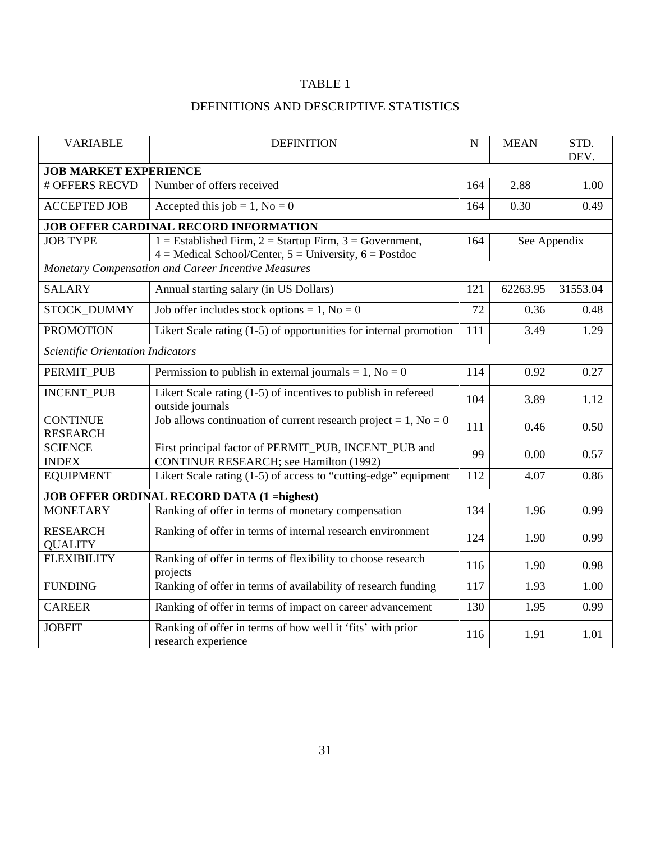# DEFINITIONS AND DESCRIPTIVE STATISTICS

| <b>VARIABLE</b>                          | <b>DEFINITION</b>                                                                                                             |     | <b>MEAN</b>  | STD.<br>DEV. |  |  |  |  |  |
|------------------------------------------|-------------------------------------------------------------------------------------------------------------------------------|-----|--------------|--------------|--|--|--|--|--|
| <b>JOB MARKET EXPERIENCE</b>             |                                                                                                                               |     |              |              |  |  |  |  |  |
| # OFFERS RECVD                           | Number of offers received                                                                                                     | 164 | 2.88         | 1.00         |  |  |  |  |  |
| <b>ACCEPTED JOB</b>                      | Accepted this job = 1, No = 0                                                                                                 | 164 | 0.30         | 0.49         |  |  |  |  |  |
|                                          | <b>JOB OFFER CARDINAL RECORD INFORMATION</b>                                                                                  |     |              |              |  |  |  |  |  |
| <b>JOB TYPE</b>                          | 1 = Established Firm, 2 = Startup Firm, $3 = 3$ = Government,<br>$4 =$ Medical School/Center, $5 =$ University, $6 =$ Postdoc | 164 | See Appendix |              |  |  |  |  |  |
|                                          | Monetary Compensation and Career Incentive Measures                                                                           |     |              |              |  |  |  |  |  |
| <b>SALARY</b>                            | Annual starting salary (in US Dollars)                                                                                        | 121 | 62263.95     | 31553.04     |  |  |  |  |  |
| STOCK_DUMMY                              | Job offer includes stock options = $1$ , No = 0                                                                               | 72  | 0.36         | 0.48         |  |  |  |  |  |
| <b>PROMOTION</b>                         | Likert Scale rating (1-5) of opportunities for internal promotion                                                             | 111 | 3.49         | 1.29         |  |  |  |  |  |
| <b>Scientific Orientation Indicators</b> |                                                                                                                               |     |              |              |  |  |  |  |  |
| PERMIT_PUB                               | Permission to publish in external journals = 1, $No = 0$                                                                      | 114 | 0.92         | 0.27         |  |  |  |  |  |
| <b>INCENT PUB</b>                        | Likert Scale rating (1-5) of incentives to publish in refereed<br>outside journals                                            | 104 | 3.89         | 1.12         |  |  |  |  |  |
| <b>CONTINUE</b><br><b>RESEARCH</b>       | Job allows continuation of current research project = 1, $No = 0$                                                             | 111 | 0.46         | 0.50         |  |  |  |  |  |
| <b>SCIENCE</b><br><b>INDEX</b>           | First principal factor of PERMIT_PUB, INCENT_PUB and<br><b>CONTINUE RESEARCH</b> ; see Hamilton (1992)                        | 99  | 0.00         | 0.57         |  |  |  |  |  |
| <b>EQUIPMENT</b>                         | Likert Scale rating (1-5) of access to "cutting-edge" equipment                                                               | 112 | 4.07         | 0.86         |  |  |  |  |  |
|                                          | <b>JOB OFFER ORDINAL RECORD DATA (1 = highest)</b>                                                                            |     |              |              |  |  |  |  |  |
| <b>MONETARY</b>                          | Ranking of offer in terms of monetary compensation                                                                            | 134 | 1.96         | 0.99         |  |  |  |  |  |
| <b>RESEARCH</b><br><b>QUALITY</b>        | Ranking of offer in terms of internal research environment                                                                    | 124 | 1.90         | 0.99         |  |  |  |  |  |
| <b>FLEXIBILITY</b>                       | Ranking of offer in terms of flexibility to choose research<br>projects                                                       | 116 | 1.90         | 0.98         |  |  |  |  |  |
| <b>FUNDING</b>                           | Ranking of offer in terms of availability of research funding                                                                 | 117 | 1.93         | 1.00         |  |  |  |  |  |
| <b>CAREER</b>                            | Ranking of offer in terms of impact on career advancement                                                                     | 130 | 1.95         | 0.99         |  |  |  |  |  |
| <b>JOBFIT</b>                            | Ranking of offer in terms of how well it 'fits' with prior<br>research experience                                             | 116 | 1.91         | 1.01         |  |  |  |  |  |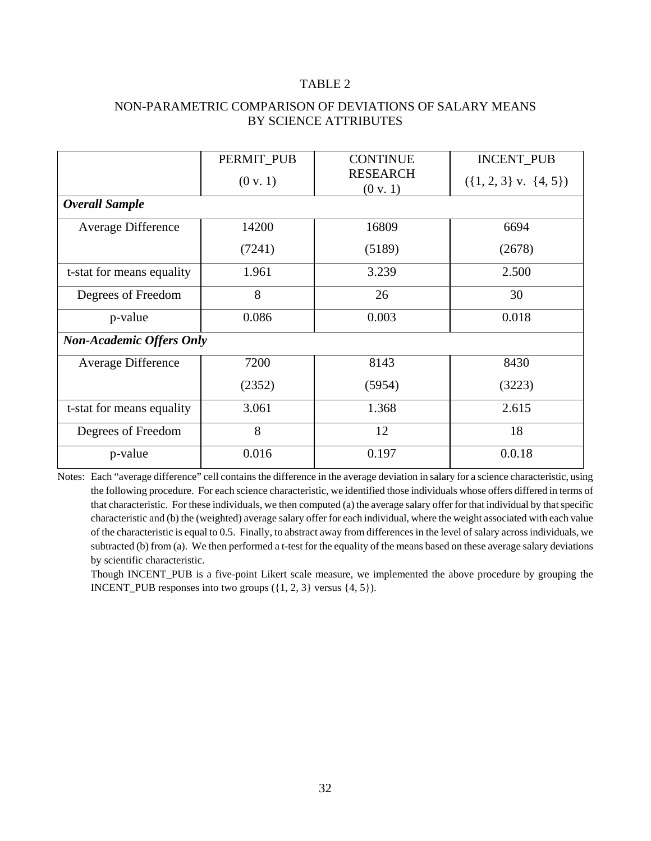## NON-PARAMETRIC COMPARISON OF DEVIATIONS OF SALARY MEANS BY SCIENCE ATTRIBUTES

|                                 | PERMIT_PUB<br>(0 v. 1) | <b>CONTINUE</b><br><b>RESEARCH</b> | INCENT_PUB<br>$({1, 2, 3} \, \text{v. } {4, 5})$ |
|---------------------------------|------------------------|------------------------------------|--------------------------------------------------|
| Overall Sample                  |                        | (0 v. 1)                           |                                                  |
|                                 |                        |                                    |                                                  |
| Average Difference              | 14200                  | 16809                              | 6694                                             |
|                                 | (7241)                 | (5189)                             | (2678)                                           |
| t-stat for means equality       | 1.961                  | 3.239                              | 2.500                                            |
| Degrees of Freedom              | 8                      | 26                                 | 30                                               |
| p-value                         | 0.086                  | 0.003                              | 0.018                                            |
| <b>Non-Academic Offers Only</b> |                        |                                    |                                                  |
| <b>Average Difference</b>       | 7200                   | 8143                               | 8430                                             |
|                                 | (2352)                 | (5954)                             | (3223)                                           |
| t-stat for means equality       | 3.061                  | 1.368                              | 2.615                                            |
| Degrees of Freedom              | 8                      | 12                                 | 18                                               |
| p-value                         | 0.016                  | 0.197                              | 0.0.18                                           |

Notes: Each "average difference" cell contains the difference in the average deviation in salary for a science characteristic, using the following procedure. For each science characteristic, we identified those individuals whose offers differed in terms of that characteristic. For these individuals, we then computed (a) the average salary offer for that individual by that specific characteristic and (b) the (weighted) average salary offer for each individual, where the weight associated with each value of the characteristic is equal to 0.5. Finally, to abstract away from differences in the level of salary across individuals, we subtracted (b) from (a). We then performed a t-test for the equality of the means based on these average salary deviations by scientific characteristic.

Though INCENT\_PUB is a five-point Likert scale measure, we implemented the above procedure by grouping the INCENT\_PUB responses into two groups ({1, 2, 3} versus {4, 5}).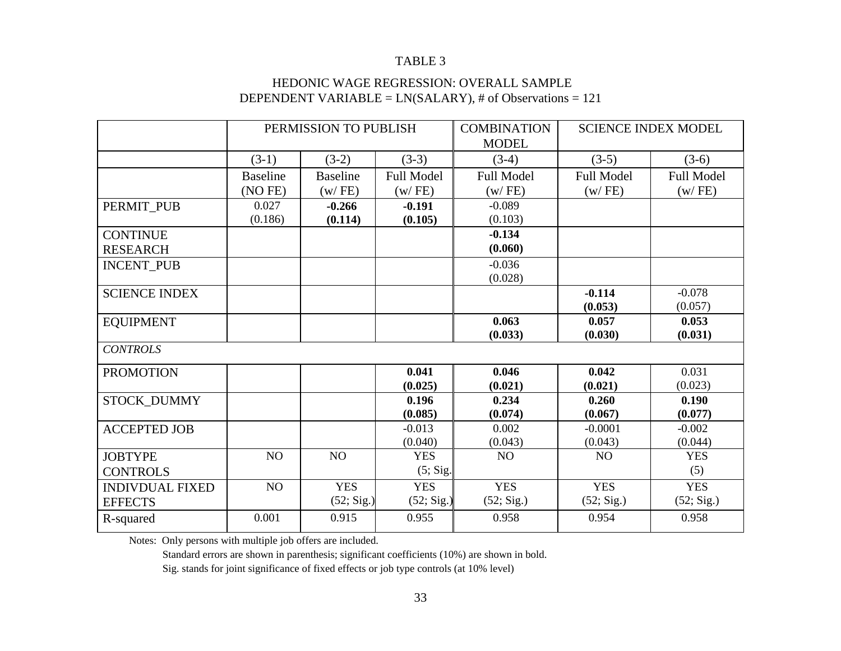### HEDONIC WAGE REGRESSION: OVERALL SAMPLE DEPENDENT VARIABLE = LN(SALARY), # of Observations = 121

|                        |                 | PERMISSION TO PUBLISH |                   | <b>COMBINATION</b><br><b>MODEL</b> |                   | <b>SCIENCE INDEX MODEL</b> |
|------------------------|-----------------|-----------------------|-------------------|------------------------------------|-------------------|----------------------------|
|                        | $(3-1)$         | $(3-2)$               | $(3-3)$           | $(3-4)$                            | $(3-5)$           | $(3-6)$                    |
|                        | <b>Baseline</b> | <b>Baseline</b>       | <b>Full Model</b> | <b>Full Model</b>                  | <b>Full Model</b> | <b>Full Model</b>          |
|                        | (NOFE)          | (w/FE)                | (w/FE)            | (w/FE)                             | (w/FE)            | (w/FE)                     |
| PERMIT_PUB             | 0.027           | $-0.266$              | $-0.191$          | $-0.089$                           |                   |                            |
|                        | (0.186)         | (0.114)               | (0.105)           | (0.103)                            |                   |                            |
| <b>CONTINUE</b>        |                 |                       |                   | $-0.134$                           |                   |                            |
| <b>RESEARCH</b>        |                 |                       |                   | (0.060)                            |                   |                            |
| <b>INCENT_PUB</b>      |                 |                       |                   | $-0.036$                           |                   |                            |
|                        |                 |                       |                   | (0.028)                            |                   |                            |
| <b>SCIENCE INDEX</b>   |                 |                       |                   |                                    | $-0.114$          | $-0.078$                   |
|                        |                 |                       |                   |                                    | (0.053)           | (0.057)                    |
| <b>EQUIPMENT</b>       |                 |                       |                   | 0.063                              | 0.057             | 0.053                      |
|                        |                 |                       |                   | (0.033)                            | (0.030)           | (0.031)                    |
| <b>CONTROLS</b>        |                 |                       |                   |                                    |                   |                            |
| <b>PROMOTION</b>       |                 |                       | 0.041             | 0.046                              | 0.042             | 0.031                      |
|                        |                 |                       | (0.025)           | (0.021)                            | (0.021)           | (0.023)                    |
| STOCK_DUMMY            |                 |                       | 0.196             | 0.234                              | 0.260             | 0.190                      |
|                        |                 |                       | (0.085)           | (0.074)                            | (0.067)           | (0.077)                    |
| <b>ACCEPTED JOB</b>    |                 |                       | $-0.013$          | 0.002                              | $-0.0001$         | $-0.002$                   |
|                        |                 |                       | (0.040)           | (0.043)                            | (0.043)           | (0.044)                    |
| <b>JOBTYPE</b>         | NO              | NO                    | <b>YES</b>        | NO                                 | NO                | <b>YES</b>                 |
| <b>CONTROLS</b>        |                 |                       | (5; Sig.]         |                                    |                   | (5)                        |
| <b>INDIVDUAL FIXED</b> | NO              | <b>YES</b>            | <b>YES</b>        | <b>YES</b>                         | <b>YES</b>        | <b>YES</b>                 |
| <b>EFFECTS</b>         |                 | (52; Sig.)            | (52; Sig.)        | (52; Sig.)                         | (52; Sig.)        | (52; Sig.)                 |
| R-squared              | 0.001           | 0.915                 | 0.955             | 0.958                              | 0.954             | 0.958                      |

Notes: Only persons with multiple job offers are included.

Standard errors are shown in parenthesis; significant coefficients (10%) are shown in bold.

Sig. stands for joint significance of fixed effects or job type controls (at 10% level)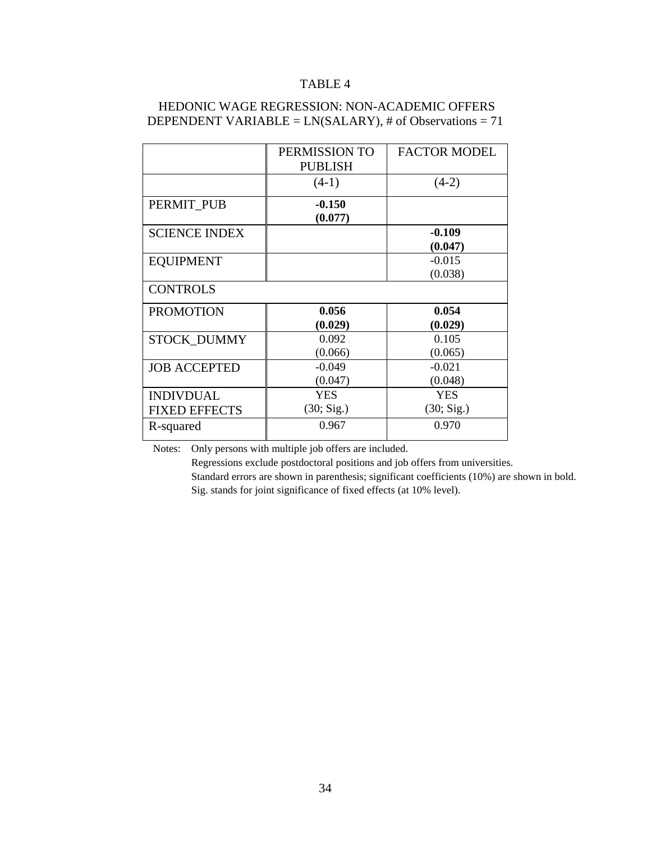|                                          | PERMISSION TO<br><b>PUBLISH</b> | <b>FACTOR MODEL</b>      |
|------------------------------------------|---------------------------------|--------------------------|
|                                          | $(4-1)$                         | $(4-2)$                  |
| PERMIT PUB                               | $-0.150$<br>(0.077)             |                          |
| <b>SCIENCE INDEX</b>                     |                                 | $-0.109$<br>(0.047)      |
| <b>EQUIPMENT</b>                         |                                 | $-0.015$<br>(0.038)      |
| <b>CONTROLS</b>                          |                                 |                          |
| <b>PROMOTION</b>                         | 0.056<br>(0.029)                | 0.054<br>(0.029)         |
| <b>STOCK DUMMY</b>                       | 0.092<br>(0.066)                | 0.105<br>(0.065)         |
| <b>JOB ACCEPTED</b>                      | $-0.049$<br>(0.047)             | $-0.021$<br>(0.048)      |
| <b>INDIVDUAL</b><br><b>FIXED EFFECTS</b> | <b>YES</b><br>(30; Sig.)        | <b>YES</b><br>(30; Sig.) |
| R-squared                                | 0.967                           | 0.970                    |

# HEDONIC WAGE REGRESSION: NON-ACADEMIC OFFERS DEPENDENT VARIABLE = LN(SALARY), # of Observations = 71

Notes: Only persons with multiple job offers are included.

Regressions exclude postdoctoral positions and job offers from universities. Standard errors are shown in parenthesis; significant coefficients (10%) are shown in bold. Sig. stands for joint significance of fixed effects (at 10% level).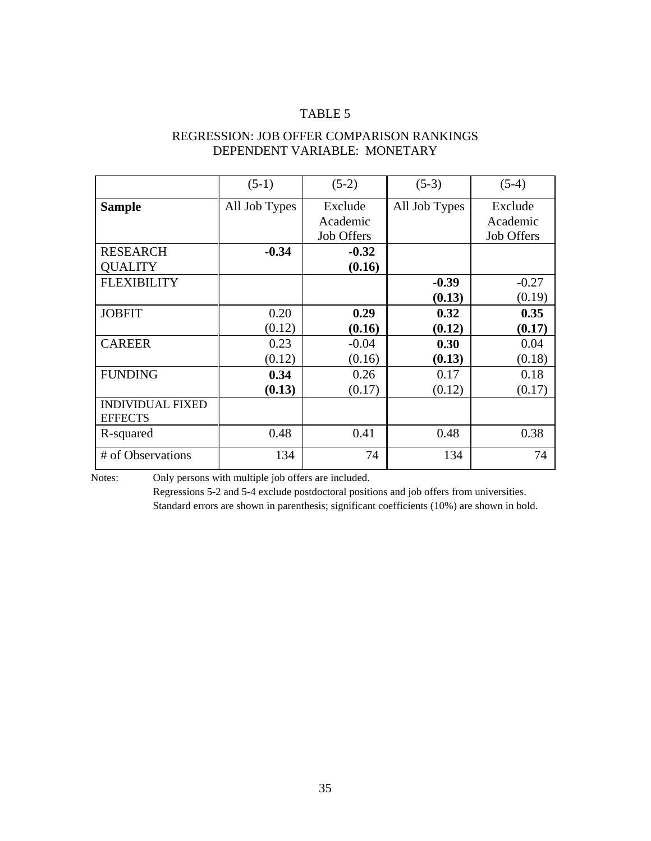# REGRESSION: JOB OFFER COMPARISON RANKINGS DEPENDENT VARIABLE: MONETARY

|                                           | $(5-1)$        | $(5-2)$                           | $(5-3)$           | $(5-4)$                                  |
|-------------------------------------------|----------------|-----------------------------------|-------------------|------------------------------------------|
| <b>Sample</b>                             | All Job Types  | Exclude<br>Academic<br>Job Offers | All Job Types     | Exclude<br>Academic<br><b>Job Offers</b> |
| <b>RESEARCH</b><br><b>QUALITY</b>         | $-0.34$        | $-0.32$<br>(0.16)                 |                   |                                          |
| <b>FLEXIBILITY</b>                        |                |                                   | $-0.39$<br>(0.13) | $-0.27$<br>(0.19)                        |
| <b>JOBFIT</b>                             | 0.20<br>(0.12) | 0.29<br>(0.16)                    | 0.32<br>(0.12)    | 0.35<br>(0.17)                           |
| <b>CAREER</b>                             | 0.23<br>(0.12) | $-0.04$<br>(0.16)                 | 0.30<br>(0.13)    | 0.04<br>(0.18)                           |
| <b>FUNDING</b>                            | 0.34<br>(0.13) | 0.26<br>(0.17)                    | 0.17<br>(0.12)    | 0.18<br>(0.17)                           |
| <b>INDIVIDUAL FIXED</b><br><b>EFFECTS</b> |                |                                   |                   |                                          |
| R-squared                                 | 0.48           | 0.41                              | 0.48              | 0.38                                     |
| # of Observations                         | 134            | 74                                | 134               | 74                                       |

Notes: Only persons with multiple job offers are included.

Regressions 5-2 and 5-4 exclude postdoctoral positions and job offers from universities. Standard errors are shown in parenthesis; significant coefficients (10%) are shown in bold.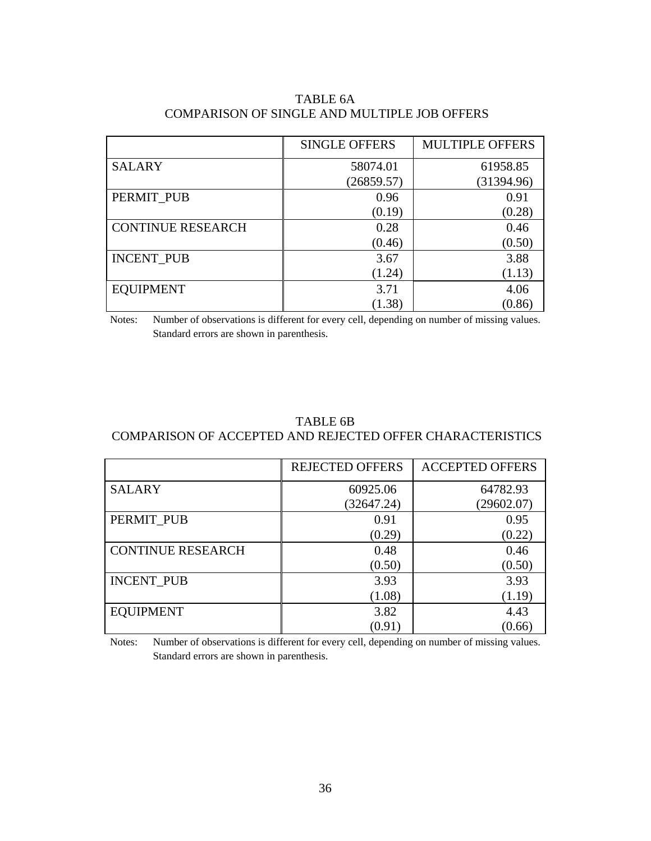|                          | <b>SINGLE OFFERS</b> | <b>MULTIPLE OFFERS</b> |
|--------------------------|----------------------|------------------------|
| <b>SALARY</b>            | 58074.01             | 61958.85               |
|                          | (26859.57)           | (31394.96)             |
| PERMIT PUB               | 0.96                 | 0.91                   |
|                          | (0.19)               | (0.28)                 |
| <b>CONTINUE RESEARCH</b> | 0.28                 | 0.46                   |
|                          | (0.46)               | (0.50)                 |
| <b>INCENT PUB</b>        | 3.67                 | 3.88                   |
|                          | (1.24)               | (1.13)                 |
| <b>EQUIPMENT</b>         | 3.71                 | 4.06                   |
|                          | (1.38)               | (0.86)                 |

## TABLE 6A COMPARISON OF SINGLE AND MULTIPLE JOB OFFERS

 Notes: Number of observations is different for every cell, depending on number of missing values. Standard errors are shown in parenthesis.

## TABLE 6B COMPARISON OF ACCEPTED AND REJECTED OFFER CHARACTERISTICS

|                          | <b>REJECTED OFFERS</b> | <b>ACCEPTED OFFERS</b> |
|--------------------------|------------------------|------------------------|
| <b>SALARY</b>            | 60925.06               | 64782.93               |
|                          | (32647.24)             | (29602.07)             |
| PERMIT PUB               | 0.91                   | 0.95                   |
|                          | (0.29)                 | (0.22)                 |
| <b>CONTINUE RESEARCH</b> | 0.48                   | 0.46                   |
|                          | (0.50)                 | (0.50)                 |
| <b>INCENT PUB</b>        | 3.93                   | 3.93                   |
|                          | (1.08)                 | (1.19)                 |
| <b>EQUIPMENT</b>         | 3.82                   | 4.43                   |
|                          | (0.91)                 | (0.66)                 |

 Notes: Number of observations is different for every cell, depending on number of missing values. Standard errors are shown in parenthesis.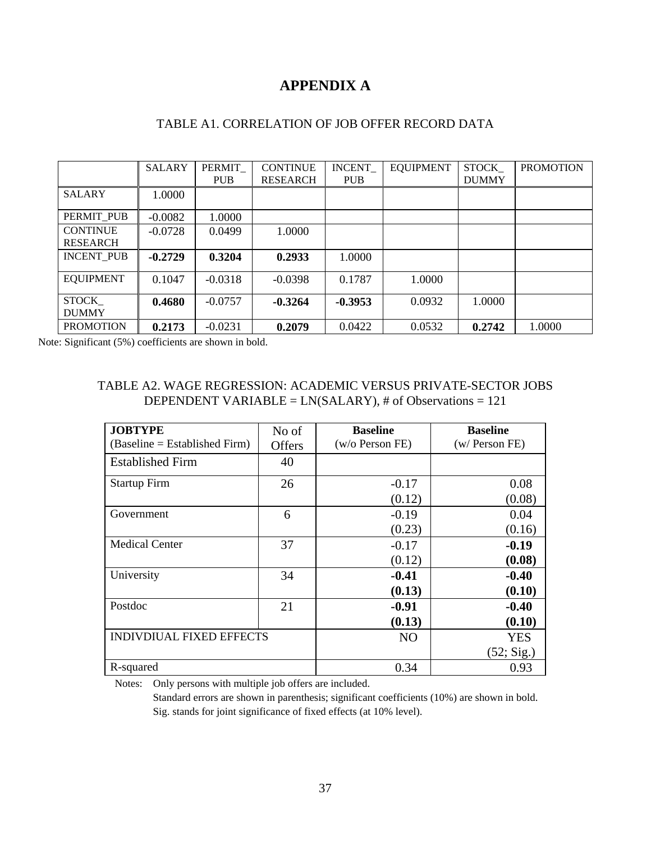# **APPENDIX A**

|                                    | <b>SALARY</b> | PERMIT<br><b>PUB</b> | <b>CONTINUE</b><br><b>RESEARCH</b> | <b>INCENT</b><br><b>PUB</b> | <b>EQUIPMENT</b> | <b>STOCK</b><br><b>DUMMY</b> | <b>PROMOTION</b> |
|------------------------------------|---------------|----------------------|------------------------------------|-----------------------------|------------------|------------------------------|------------------|
| <b>SALARY</b>                      | 1.0000        |                      |                                    |                             |                  |                              |                  |
| PERMIT PUB                         | $-0.0082$     | 1.0000               |                                    |                             |                  |                              |                  |
| <b>CONTINUE</b><br><b>RESEARCH</b> | $-0.0728$     | 0.0499               | 1.0000                             |                             |                  |                              |                  |
| <b>INCENT PUB</b>                  | $-0.2729$     | 0.3204               | 0.2933                             | 1.0000                      |                  |                              |                  |
| <b>EQUIPMENT</b>                   | 0.1047        | $-0.0318$            | $-0.0398$                          | 0.1787                      | 1.0000           |                              |                  |
| <b>STOCK</b><br><b>DUMMY</b>       | 0.4680        | $-0.0757$            | $-0.3264$                          | $-0.3953$                   | 0.0932           | 1.0000                       |                  |
| <b>PROMOTION</b>                   | 0.2173        | $-0.0231$            | 0.2079                             | 0.0422                      | 0.0532           | 0.2742                       | 1.0000           |

## TABLE A1. CORRELATION OF JOB OFFER RECORD DATA

Note: Significant (5%) coefficients are shown in bold.

## TABLE A2. WAGE REGRESSION: ACADEMIC VERSUS PRIVATE-SECTOR JOBS DEPENDENT VARIABLE = LN(SALARY), # of Observations = 121

| <b>JOBTYPE</b>                  | No of         | <b>Baseline</b>   | <b>Baseline</b>  |
|---------------------------------|---------------|-------------------|------------------|
| $(Baseline = Established Firm)$ | <b>Offers</b> | $(w/o$ Person FE) | $(w/$ Person FE) |
| <b>Established Firm</b>         | 40            |                   |                  |
| <b>Startup Firm</b>             | 26            | $-0.17$           | 0.08             |
|                                 |               | (0.12)            | (0.08)           |
| Government                      | 6             | $-0.19$           | 0.04             |
|                                 |               | (0.23)            | (0.16)           |
| <b>Medical Center</b>           | 37            | $-0.17$           | $-0.19$          |
|                                 |               | (0.12)            | (0.08)           |
| University                      | 34            | $-0.41$           | $-0.40$          |
|                                 |               | (0.13)            | (0.10)           |
| Postdoc                         | 21            | $-0.91$           | $-0.40$          |
|                                 |               | (0.13)            | (0.10)           |
| <b>INDIVDIUAL FIXED EFFECTS</b> |               | N <sub>O</sub>    | <b>YES</b>       |
|                                 |               |                   | (52; Sig.)       |
| R-squared                       |               | 0.34              | 0.93             |

Notes: Only persons with multiple job offers are included.

Standard errors are shown in parenthesis; significant coefficients (10%) are shown in bold. Sig. stands for joint significance of fixed effects (at 10% level).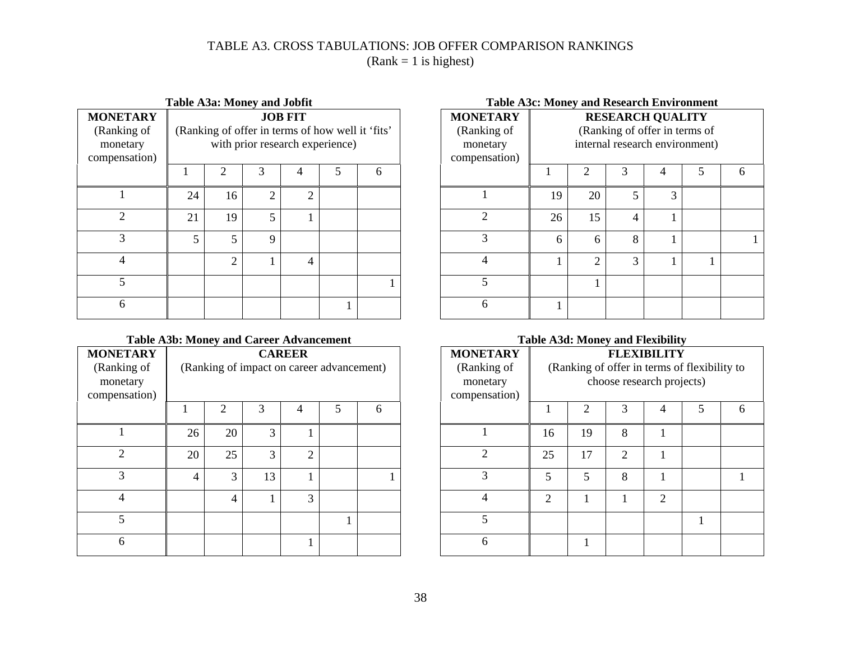## TABLE A3. CROSS TABULATIONS: JOB OFFER COMPARISON RANKINGS  $(Rank = 1$  is highest)

| <b>Table A3a: Money and Jobfit</b>                          |                                                                                                       |                |                             |   |   |   |  |
|-------------------------------------------------------------|-------------------------------------------------------------------------------------------------------|----------------|-----------------------------|---|---|---|--|
| <b>MONETARY</b><br>(Ranking of<br>monetary<br>compensation) | <b>JOB FIT</b><br>(Ranking of offer in terms of how well it 'fits'<br>with prior research experience) |                |                             |   |   |   |  |
|                                                             |                                                                                                       | 2              | 3                           | 4 | 5 | 6 |  |
|                                                             | 24                                                                                                    | 16             | $\mathcal{D}_{\mathcal{L}}$ | 2 |   |   |  |
| $\mathfrak{D}$                                              | 21                                                                                                    | 19             | 5                           | 1 |   |   |  |
| 3                                                           | 5                                                                                                     | 5              | 9                           |   |   |   |  |
| 4                                                           |                                                                                                       | $\overline{2}$ |                             | 4 |   |   |  |
| 5                                                           |                                                                                                       |                |                             |   |   |   |  |
| 6                                                           |                                                                                                       |                |                             |   |   |   |  |

# **Table A3a: Money and Jobfit**

## **Table A3b: Money and Career Advancement**

| <b>MONETARY</b><br>(Ranking of<br>monetary<br>compensation) | <b>CAREER</b><br>(Ranking of impact on career advancement) |                |               |                |   |   |
|-------------------------------------------------------------|------------------------------------------------------------|----------------|---------------|----------------|---|---|
|                                                             |                                                            | 2              | 3             | Δ              | 5 | 6 |
|                                                             | 26                                                         | 20             | $\mathcal{R}$ |                |   |   |
| $\mathfrak{D}$                                              | 20                                                         | 25             | 3             | $\overline{2}$ |   |   |
| 3                                                           | 4                                                          | 3              | 13            |                |   |   |
| 4                                                           |                                                            | $\overline{4}$ |               | 3              |   |   |
| 5                                                           |                                                            |                |               |                |   |   |
| 6                                                           |                                                            |                |               |                |   |   |

#### **Table A3c: Money and Research Environment MONETARY**  (Ranking of monetary compensation) **RESEARCH QUALITY**  (Ranking of offer in terms of internal research environment) 11 2 3 4 5 6  $1 \quad 19$ 20 5 3 2 26  $15$  4 1 3 6668111 1 1 4 | 1| 2| 3| 1| 1| 5 16 1 $\mathbf{1}$

### **Table A3d: Money and Flexibility**

| <b>MONETARY</b><br>(Ranking of<br>monetary<br>compensation) | <b>FLEXIBILITY</b><br>(Ranking of offer in terms of flexibility to<br>choose research projects) |                          |   |               |   |   |
|-------------------------------------------------------------|-------------------------------------------------------------------------------------------------|--------------------------|---|---------------|---|---|
|                                                             |                                                                                                 | $\overline{c}$           | 3 | 4             | 5 | 6 |
|                                                             | 16                                                                                              | 19                       | 8 |               |   |   |
| $\mathfrak{D}$                                              | 25                                                                                              | 17                       | 2 |               |   |   |
| 3                                                           | 5                                                                                               | $\overline{\phantom{0}}$ | 8 |               |   |   |
| 4                                                           | $\mathcal{D}$                                                                                   |                          |   | $\mathcal{D}$ |   |   |
| 5                                                           |                                                                                                 |                          |   |               |   |   |
|                                                             |                                                                                                 |                          |   |               |   |   |